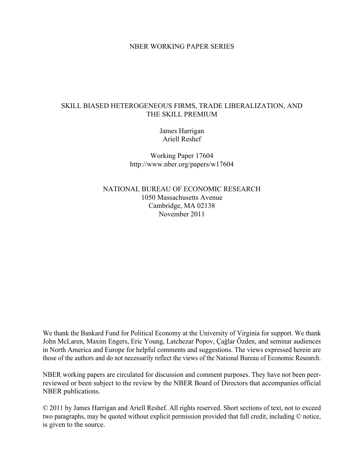### NBER WORKING PAPER SERIES

# SKILL BIASED HETEROGENEOUS FIRMS, TRADE LIBERALIZATION, AND THE SKILL PREMIUM

James Harrigan Ariell Reshef

Working Paper 17604 http://www.nber.org/papers/w17604

NATIONAL BUREAU OF ECONOMIC RESEARCH 1050 Massachusetts Avenue Cambridge, MA 02138 November 2011

We thank the Bankard Fund for Political Economy at the University of Virginia for support. We thank John McLaren, Maxim Engers, Eric Young, Latchezar Popov, Çaĝlar Őzden, and seminar audiences in North America and Europe for helpful comments and suggestions. The views expressed herein are those of the authors and do not necessarily reflect the views of the National Bureau of Economic Research.

NBER working papers are circulated for discussion and comment purposes. They have not been peerreviewed or been subject to the review by the NBER Board of Directors that accompanies official NBER publications.

© 2011 by James Harrigan and Ariell Reshef. All rights reserved. Short sections of text, not to exceed two paragraphs, may be quoted without explicit permission provided that full credit, including © notice, is given to the source.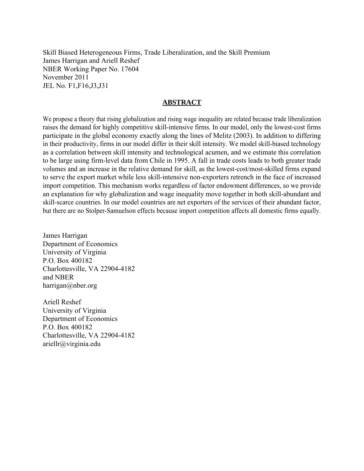Skill Biased Heterogeneous Firms, Trade Liberalization, and the Skill Premium James Harrigan and Ariell Reshef NBER Working Paper No. 17604 November 2011 JEL No. F1,F16,J3,J31

# **ABSTRACT**

We propose a theory that rising globalization and rising wage inequality are related because trade liberalization raises the demand for highly competitive skill-intensive firms. In our model, only the lowest-cost firms participate in the global economy exactly along the lines of Melitz (2003). In addition to differing in their productivity, firms in our model differ in their skill intensity. We model skill-biased technology as a correlation between skill intensity and technological acumen, and we estimate this correlation to be large using firm-level data from Chile in 1995. A fall in trade costs leads to both greater trade volumes and an increase in the relative demand for skill, as the lowest-cost/most-skilled firms expand to serve the export market while less skill-intensive non-exporters retrench in the face of increased import competition. This mechanism works regardless of factor endowment differences, so we provide an explanation for why globalization and wage inequality move together in both skill-abundant and skill-scarce countries. In our model countries are net exporters of the services of their abundant factor, but there are no Stolper-Samuelson effects because import competition affects all domestic firms equally.

James Harrigan Department of Economics University of Virginia P.O. Box 400182 Charlottesville, VA 22904-4182 and NBER harrigan@nber.org

Ariell Reshef University of Virginia Department of Economics P.O. Box 400182 Charlottesville, VA 22904-4182 ariellr@virginia.edu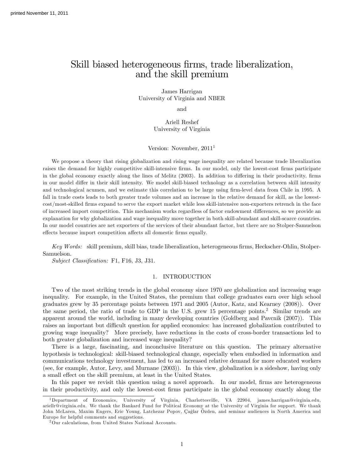# Skill biased heterogeneous firms, trade liberalization, and the skill premium

James Harrigan University of Virginia and NBER

and

Ariell Reshef University of Virginia

Version: November,  $2011<sup>1</sup>$ 

We propose a theory that rising globalization and rising wage inequality are related because trade liberalization raises the demand for highly competitive skill-intensive firms. In our model, only the lowest-cost firms participate in the global economy exactly along the lines of Melitz (2003). In addition to differing in their productivity, firms in our model differ in their skill intensity. We model skill-biased technology as a correlation between skill intensity and technological acumen, and we estimate this correlation to be large using firm-level data from Chile in 1995. A fall in trade costs leads to both greater trade volumes and an increase in the relative demand for skill, as the lowestcost/most-skilled Örms expand to serve the export market while less skill-intensive non-exporters retrench in the face of increased import competition. This mechanism works regardless of factor endowment differences, so we provide an explanation for why globalization and wage inequality move together in both skill-abundant and skill-scarce countries. In our model countries are net exporters of the services of their abundant factor, but there are no Stolper-Samuelson effects because import competition affects all domestic firms equally.

Key Words: skill premium, skill bias, trade liberalization, heterogeneous firms, Heckscher-Ohlin, Stolper-Samuelson.

Subject Classification: F1, F16, J3, J31.

#### 1. INTRODUCTION

Two of the most striking trends in the global economy since 1970 are globalization and increasing wage inequality. For example, in the United States, the premium that college graduates earn over high school graduates grew by 35 percentage points between 1971 and 2005 (Autor, Katz, and Kearney (2008)). Over the same period, the ratio of trade to GDP in the U.S. grew 15 percentage points.<sup>2</sup> Similar trends are apparent around the world, including in many developing countries (Goldberg and Pavcnik (2007)). This raises an important but difficult question for applied economics: has increased globalization contributed to growing wage inequality? More precisely, have reductions in the costs of cross-border transactions led to both greater globalization and increased wage inequality?

There is a large, fascinating, and inconclusive literature on this question. The primary alternative hypothesis is technological: skill-biased technological change, especially when embodied in information and communications technology investment, has led to an increased relative demand for more educated workers (see, for example, Autor, Levy, and Murnane (2003)). In this view, globalization is a sideshow, having only a small effect on the skill premium, at least in the United States.

In this paper we revisit this question using a novel approach. In our model, firms are heterogeneous in their productivity, and only the lowest-cost Örms participate in the global economy exactly along the

<sup>1</sup>Department of Economics, University of Virginia, Charlottesville, VA 22904, james.harrigan@virginia.edu, ariellr@virginia.edu. We thank the Bankard Fund for Political Economy at the University of Virginia for support. We thank John McLaren, Maxim Engers, Eric Young, Latchezar Popov, Çaĝlar Őzden, and seminar audiences in North America and Europe for helpful comments and suggestions.

<sup>2</sup>Our calculations, from United States National Accounts.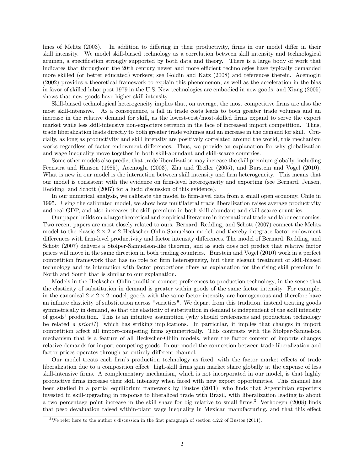lines of Melitz (2003). In addition to differing in their productivity, firms in our model differ in their skill intensity. We model skill-biased technology as a correlation between skill intensity and technological acumen, a specification strongly supported by both data and theory. There is a large body of work that indicates that throughout the 20th century newer and more efficient technologies have typically demanded more skilled (or better educated) workers; see Goldin and Katz (2008) and references therein. Acemoglu (2002) provides a theoretical framework to explain this phenomenon, as well as the acceleration in the bias in favor of skilled labor post 1979 in the U.S. New technologies are embodied in new goods, and Xiang (2005) shows that new goods have higher skill intensity.

Skill-biased technological heterogeneity implies that, on average, the most competitive firms are also the most skill-intensive. As a consequence, a fall in trade costs leads to both greater trade volumes and an increase in the relative demand for skill, as the lowest-cost/most-skilled firms expand to serve the export market while less skill-intensive non-exporters retrench in the face of increased import competition. Thus, trade liberalization leads directly to both greater trade volumes and an increase in the demand for skill. Crucially, as long as productivity and skill intensity are positively correlated around the world, this mechanism works regardless of factor endowment differences. Thus, we provide an explanation for why globalization and wage inequality move together in both skill-abundant and skill-scarce countries.

Some other models also predict that trade liberalization may increase the skill premium globally, including Feenstra and Hanson (1985), Acemoglu (2003), Zhu and Trefler (2005), and Burstein and Vogel (2010). What is new in our model is the interaction between skill intensity and firm heterogeneity. This means that our model is consistent with the evidence on firm-level heterogeneity and exporting (see Bernard, Jensen, Redding, and Schott (2007) for a lucid discussion of this evidence).

In our numerical analysis, we calibrate the model to firm-level data from a small open economy, Chile in 1995. Using the calibrated model, we show how multilateral trade liberalization raises average productivity and real GDP, and also increases the skill premium in both skill-abundant and skill-scarce countries.

Our paper builds on a large theoretical and empirical literature in international trade and labor economics. Two recent papers are most closely related to ours. Bernard, Redding, and Schott (2007) connect the Melitz model to the classic  $2 \times 2 \times 2$  Heckscher-Ohlin-Samuelson model, and thereby integrate factor endowment differences with firm-level productivity and factor intensity differences. The model of Bernard, Redding, and Schott (2007) delivers a Stolper-Samuelson-like theorem, and as such does not predict that relative factor prices will move in the same direction in both trading countries. Burstein and Vogel (2010) work in a perfect competition framework that has no role for firm heterogeneity, but their elegant treatment of skill-biased technology and its interaction with factor proportions offers an explanation for the rising skill premium in North and South that is similar to our explanation.

Models in the Heckscher-Ohlin tradition connect preferences to production technology, in the sense that the elasticity of substitution in demand is greater within goods of the same factor intensity. For example, in the canonical  $2 \times 2 \times 2$  model, goods with the same factor intensity are homogeneous and therefore have an infinite elasticity of substitution across "varieties". We depart from this tradition, instead treating goods symmetrically in demand, so that the elasticity of substitution in demand is independent of the skill intensity of goods' production. This is an intuitive assumption (why should preferences and production technology be related a priori?) which has striking implications. In particular, it implies that changes in import competition affect all import-competing firms symmetrically. This contrasts with the Stolper-Samuelson mechanism that is a feature of all Heckscher-Ohlin models, where the factor content of imports changes relative demands for import competing goods. In our model the connection between trade liberalization and factor prices operates through an entirely different channel.

Our model treats each firm's production technology as fixed, with the factor market effects of trade liberalization due to a composition effect: high-skill firms gain market share globally at the expense of less skill-intensive firms. A complementary mechanism, which is not incorporated in our model, is that highly productive Örms increase their skill intensity when faced with new export opportunities. This channel has been studied in a partial equilibrium framework by Bustos (2011), who finds that Argentinian exporters invested in skill-upgrading in response to liberalized trade with Brazil, with liberalization leading to about a two percentage point increase in the skill share for big relative to small firms.<sup>3</sup> Verhoogen (2008) finds that peso devaluation raised within-plant wage inequality in Mexican manufacturing, and that this effect

<sup>&</sup>lt;sup>3</sup>We refer here to the author's discussion in the first paragraph of section 4.2.2 of Bustos (2011).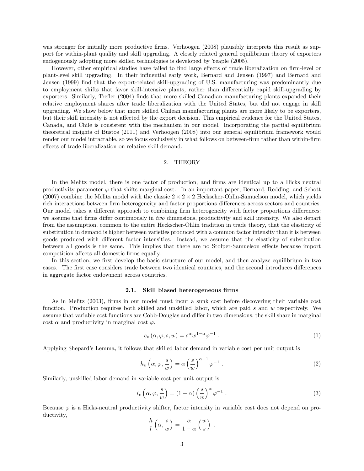was stronger for initially more productive firms. Verhoogen (2008) plausibly interprets this result as support for within-plant quality and skill upgrading. A closely related general equilibrium theory of exporters endogenously adopting more skilled technologies is developed by Yeaple (2005).

However, other empirical studies have failed to find large effects of trade liberalization on firm-level or plant-level skill upgrading. In their ináuential early work, Bernard and Jensen (1997) and Bernard and Jensen (1999) find that the export-related skill-upgrading of U.S. manufacturing was predominantly due to employment shifts that favor skill-intensive plants, rather than differentially rapid skill-upgrading by exporters. Similarly, Trefler (2004) finds that more skilled Canadian manufacturing plants expanded their relative employment shares after trade liberalization with the United States, but did not engage in skill upgrading. We show below that more skilled Chilean manufacturing plants are more likely to be exporters, but their skill intensity is not affected by the export decision. This empirical evidence for the United States, Canada, and Chile is consistent with the mechanism in our model. Incorporating the partial equilibrium theoretical insights of Bustos (2011) and Verhoogen (2008) into our general equilibrium framework would render our model intractable, so we focus exclusively in what follows on between-firm rather than within-firm effects of trade liberalization on relative skill demand.

#### 2. THEORY

In the Melitz model, there is one factor of production, and firms are identical up to a Hicks neutral productivity parameter  $\varphi$  that shifts marginal cost. In an important paper, Bernard, Redding, and Schott (2007) combine the Melitz model with the classic  $2 \times 2 \times 2$  Heckscher-Ohlin-Samuelson model, which yields rich interactions between firm heterogeneity and factor proportions differences across sectors and countries. Our model takes a different approach to combining firm heterogeneity with factor proportions differences: we assume that firms differ continuously in two dimensions, productivity and skill intensity. We also depart from the assumption, common to the entire Heckscher-Ohlin tradition in trade theory, that the elasticity of substitution in demand is higher between varieties produced with a common factor intensity than it is between goods produced with different factor intensities. Instead, we assume that the elasticity of substitution between all goods is the same. This implies that there are no Stolper-Samuelson effects because import competition affects all domestic firms equally.

In this section, we first develop the basic structure of our model, and then analyze equilibrium in two cases. The first case considers trade between two identical countries, and the second introduces differences in aggregate factor endowment across countries.

#### 2.1. Skill biased heterogeneous firms

As in Melitz (2003), firms in our model must incur a sunk cost before discovering their variable cost function. Production requires both skilled and unskilled labor, which are paid s and w respectively. We assume that variable cost functions are Cobb-Douglas and differ in two dimensions, the skill share in marginal cost  $\alpha$  and productivity in marginal cost  $\varphi$ ,

$$
c_v(\alpha, \varphi, s, w) = s^{\alpha} w^{1-\alpha} \varphi^{-1} . \tag{1}
$$

Applying Shepard's Lemma, it follows that skilled labor demand in variable cost per unit output is

$$
h_v\left(\alpha,\varphi,\frac{s}{w}\right) = \alpha \left(\frac{s}{w}\right)^{\alpha-1} \varphi^{-1} . \tag{2}
$$

Similarly, unskilled labor demand in variable cost per unit output is

$$
l_v\left(\alpha,\varphi,\frac{s}{w}\right) = (1-\alpha)\left(\frac{s}{w}\right)^{\alpha}\varphi^{-1}.
$$
\n(3)

:

Because  $\varphi$  is a Hicks-neutral productivity shifter, factor intensity in variable cost does not depend on productivity,

$$
\frac{h}{l}\left(\alpha, \frac{s}{w}\right) = \frac{\alpha}{1-\alpha}\left(\frac{w}{s}\right)
$$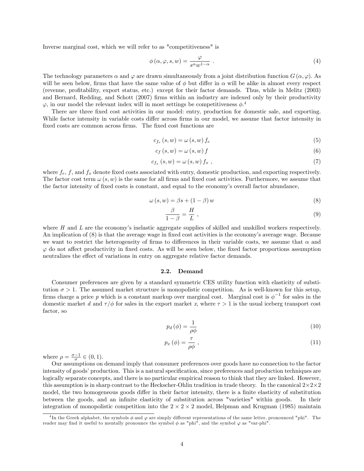Inverse marginal cost, which we will refer to as "competitiveness" is

$$
\phi\left(\alpha,\varphi,s,w\right) = \frac{\varphi}{s^{\alpha}w^{1-\alpha}}\ .\tag{4}
$$

The technology parameters  $\alpha$  and  $\varphi$  are drawn simultaneously from a joint distribution function  $G(\alpha, \varphi)$ . As will be seen below, firms that have the same value of  $\phi$  but differ in  $\alpha$  will be alike in almost every respect (revenue, proÖtability, export status, etc.) except for their factor demands. Thus, while in Melitz (2003) and Bernard, Redding, and Schott (2007) firms within an industry are indexed only by their productivity  $\varphi$ , in our model the relevant index will in most settings be competitiveness  $\phi$ <sup>4</sup>

There are three fixed cost activities in our model: entry, production for domestic sale, and exporting. While factor intensity in variable costs differ across firms in our model, we assume that factor intensity in fixed costs are common across firms. The fixed cost functions are

$$
c_{f_e}(s, w) = \omega(s, w) f_e \tag{5}
$$

$$
c_f(s, w) = \omega(s, w) f \tag{6}
$$

$$
c_{f_x}(s, w) = \omega(s, w) f_x , \qquad (7)
$$

where  $f_e$ , f, and  $f_x$  denote fixed costs associated with entry, domestic production, and exporting respectively. The factor cost term  $\omega(s, w)$  is the same for all firms and fixed cost activities. Furthermore, we assume that the factor intensity of fixed costs is constant, and equal to the economy's overall factor abundance,

$$
\omega(s, w) = \beta s + (1 - \beta) w \tag{8}
$$

$$
\frac{\beta}{1-\beta} = \frac{H}{L} \,,\tag{9}
$$

where  $H$  and  $L$  are the economy's inelastic aggregate supplies of skilled and unskilled workers respectively. An implication of (8) is that the average wage in fixed cost activities is the economy's average wage. Because we want to restrict the heterogeneity of firms to differences in their variable costs, we assume that  $\alpha$  and  $\varphi$  do not affect productivity in fixed costs. As will be seen below, the fixed factor proportions assumption neutralizes the effect of variations in entry on aggregate relative factor demands.

#### 2.2. Demand

Consumer preferences are given by a standard symmetric CES utility function with elasticity of substitution  $\sigma > 1$ . The assumed market structure is monopolistic competition. As is well-known for this setup, firms charge a price p which is a constant markup over marginal cost. Marginal cost is  $\phi^{-1}$  for sales in the domestic market d and  $\tau/\phi$  for sales in the export market x, where  $\tau > 1$  is the usual iceberg transport cost factor, so

$$
p_d(\phi) = \frac{1}{\rho \phi} \tag{10}
$$

$$
p_x(\phi) = \frac{\tau}{\rho \phi} \tag{11}
$$

where  $\rho = \frac{\sigma - 1}{\sigma} \in (0, 1)$ .

Our assumptions on demand imply that consumer preferences over goods have no connection to the factor intensity of goods' production. This is a natural specification, since preferences and production techniques are logically separate concepts, and there is no particular empirical reason to think that they are linked. However, this assumption is in sharp contrast to the Heckscher-Ohlin tradition in trade theory. In the canonical  $2 \times 2 \times 2$ model, the two homogeneous goods differ in their factor intensity, there is a finite elasticity of substitution between the goods, and an infinite elasticity of substitution across "varieties" within goods. In their integration of monopolistic competition into the  $2 \times 2 \times 2$  model, Helpman and Krugman (1985) maintain

<sup>&</sup>lt;sup>4</sup>In the Greek alphabet, the symbols  $\phi$  and  $\varphi$  are simply different representations of the same letter, pronounced "phi". The reader may find it useful to mentally pronounce the symbol  $\phi$  as "phi", and the symbol  $\varphi$  as "var-phi".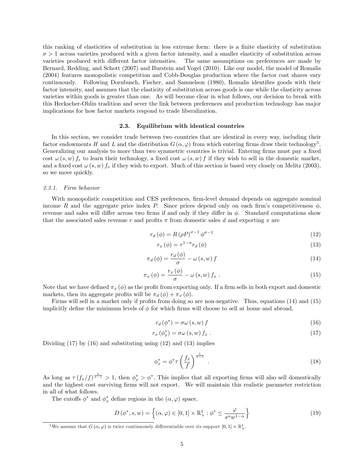this ranking of elasticities of substitution in less extreme form: there is a finite elasticity of substitution  $\sigma > 1$  across varieties produced with a given factor intensity, and a smaller elasticity of substitution across varieties produced with different factor intensities. The same assumptions on preferences are made by Bernard, Redding, and Schott (2007) and Burstein and Vogel (2010). Like our model, the model of Romalis (2004) features monopolistic competition and Cobb-Douglas production where the factor cost shares vary continuously. Following Dornbusch, Fischer, and Samuelson (1980), Romalis identifies goods with their factor intensity, and assumes that the elasticity of substitution across goods is one while the elasticity across varieties within goods is greater than one. As will become clear in what follows, our decision to break with this Heckscher-Ohlin tradition and sever the link between preferences and production technology has major implications for how factor markets respond to trade liberalization.

#### 2.3. Equilibrium with identical countries

In this section, we consider trade between two countries that are identical in every way, including their factor endowments H and L and the distribution  $G(\alpha, \varphi)$  from which entering firms draw their technology<sup>5</sup>. Generalizing our analysis to more than two symmetric countries is trivial. Entering firms must pay a fixed cost  $\omega(s, w) f_e$  to learn their technology, a fixed cost  $\omega(s, w) f$  if they wish to sell in the domestic market, and a fixed cost  $\omega(s, w) f_x$  if they wish to export. Much of this section is based very closely on Melitz (2003), so we move quickly.

#### 2.3.1. Firm behavior

With monopolistic competition and CES preferences, firm-level demand depends on aggregate nominal income R and the aggregate price index P. Since prices depend only on each firm's competitiveness  $\phi$ , revenue and sales will differ across two firms if and only if they differ in  $\phi$ . Standard computations show that the associated sales revenue r and profits  $\pi$  from domestic sales d and exporting x are

$$
r_d(\phi) = R(\rho P)^{\sigma - 1} \phi^{\sigma - 1}
$$
\n(12)

$$
r_x(\phi) = \tau^{1-\sigma} r_d(\phi) \tag{13}
$$

$$
\pi_d(\phi) = \frac{r_d(\phi)}{\sigma} - \omega(s, w) f \tag{14}
$$

$$
\pi_x(\phi) = \frac{r_x(\phi)}{\sigma} - \omega(s, w) f_x \,. \tag{15}
$$

Note that we have defined  $\pi_x (\phi)$  as the profit from exporting only. If a firm sells in both export and domestic markets, then its aggregate profits will be  $\pi_d (\phi) + \pi_x (\phi)$ .

Firms will sell in a market only if profits from doing so are non-negative. Thus, equations (14) and (15) implicitly define the minimum levels of  $\phi$  for which firms will choose to sell at home and abroad,

$$
r_d(\phi^*) = \sigma\omega(s, w) f \tag{16}
$$

$$
r_x \left( \phi_x^* \right) = \sigma \omega \left( s, w \right) f_x \tag{17}
$$

Dividing (17) by (16) and substituting using (12) and (13) implies

$$
\phi_x^* = \phi^* \tau \left(\frac{f_x}{f}\right)^{\frac{1}{\sigma - 1}}.
$$
\n(18)

As long as  $\tau(f_x/f)^{\frac{1}{\sigma-1}} > 1$ , then  $\phi_x^* > \phi^*$ . This implies that all exporting firms will also sell domestically and the highest cost surviving firms will not export. We will maintain this realistic parameter restriction in all of what follows.

The cutoffs  $\phi^*$  and  $\phi_x^*$  define regions in the  $(\alpha, \varphi)$  space,

$$
D(\phi^*, s, w) = \left\{ (\alpha, \varphi) \in [0, 1] \times \mathbb{R}^1_+ : \phi^* \le \frac{\varphi}{s^{\alpha} w^{1-\alpha}} \right\}
$$
(19)

<sup>&</sup>lt;sup>5</sup>We assume that  $G(\alpha, \varphi)$  is twice continuously differentiable over its support  $[0,1] \times \mathbb{R}^1_+$ .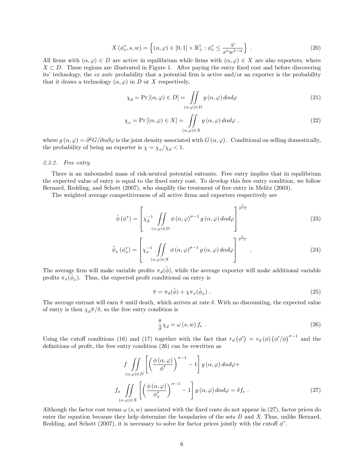$$
X(\phi_x^*, s, w) = \left\{ (\alpha, \varphi) \in [0, 1] \times \mathbb{R}_+^1 : \phi_x^* \le \frac{\varphi}{s^{\alpha} w^{1-\alpha}} \right\} . \tag{20}
$$

All firms with  $(\alpha, \varphi) \in D$  are active in equilibrium while firms with  $(\alpha, \varphi) \in X$  are also exporters, where  $X \subset D$ . These regions are illustrated in Figure 1. After paying the entry fixed cost and before discovering its' technology, the *ex ante* probability that a potential firm is active and/or an exporter is the probability that it draws a technology  $(\alpha, \varphi)$  in D or X respectively,

$$
\chi_d = \Pr\left[ (\alpha, \varphi) \in D \right] = \iint_{(\alpha, \varphi) \in D} g(\alpha, \varphi) d\alpha d\varphi \tag{21}
$$

$$
\chi_x = \Pr\left[ (\alpha, \varphi) \in X \right] = \iint_{(\alpha, \varphi) \in X} g(\alpha, \varphi) \, d\alpha d\varphi , \tag{22}
$$

where  $g(\alpha, \varphi) = \partial^2 G/\partial \alpha \partial \varphi$  is the joint density associated with  $G(\alpha, \varphi)$ . Conditional on selling domestically, the probability of being an exporter is  $\chi = \chi_x/\chi_d < 1$ .

#### 2.3.2. Free entry

There is an unbounded mass of risk-neutral potential entrants. Free entry implies that in equilibrium the expected value of entry is equal to the fixed entry cost. To develop this free entry condition, we follow Bernard, Redding, and Schott (2007), who simplify the treatment of free entry in Melitz (2003).

The weighted average competitiveness of all active firms and exporters respectively are

$$
\tilde{\phi}(\phi^*) = \left[ \chi_d^{-1} \iint\limits_{(\alpha,\varphi)\in D} \phi(\alpha,\varphi)^{\sigma-1} g(\alpha,\varphi) d\alpha d\varphi \right]^{\frac{1}{\sigma-1}}
$$
\n(23)

$$
\tilde{\phi}_{x}(\phi_{x}^{*}) = \left[ \chi_{x}^{-1} \iint\limits_{(\alpha,\varphi)\in X} \phi(\alpha,\varphi)^{\sigma-1} g(\alpha,\varphi) d\alpha d\varphi \right]^{\frac{1}{\sigma-1}}.
$$
\n(24)

The average firm will make variable profits  $\pi_d(\phi)$ , while the average exporter will make additional variable profits  $\pi_x(\tilde{\phi}_x)$ . Thus, the expected profit conditional on entry is

$$
\bar{\pi} = \pi_d(\tilde{\phi}) + \chi \pi_x(\tilde{\phi}_x) \tag{25}
$$

The average entrant will earn  $\bar{\pi}$  until death, which arrives at rate  $\delta$ . With no discounting, the expected value of entry is then  $\chi_d\bar{\pi}/\delta$ , so the free entry condition is

$$
\frac{\bar{\pi}}{\delta} \chi_d = \omega \left( s, w \right) f_e \tag{26}
$$

Using the cutoff conditions (16) and (17) together with the fact that  $r_d(\phi') = r_d(\phi) (\phi'/\phi)^{\sigma-1}$  and the definitions of profit, the free entry condition  $(26)$  can be rewritten as

$$
f\int\int\int\int\left(\left(\frac{\phi\left(\alpha,\varphi\right)}{\phi^*}\right)^{\sigma-1} - 1\right]g\left(\alpha,\varphi\right)d\alpha d\varphi +
$$
  

$$
f_x\int\int\int\int\left(\left(\frac{\phi\left(\alpha,\varphi\right)}{\phi_x^*}\right)^{\sigma-1} - 1\right]g\left(\alpha,\varphi\right)d\alpha d\varphi = \delta f_e.
$$
 (27)

Although the factor cost terms  $\omega(s, w)$  associated with the fixed costs do not appear in (27), factor prices do enter the equation because they help determine the boundaries of the sets  $D$  and  $X$ . Thus, unlike Bernard, Redding, and Schott (2007), it is necessary to solve for factor prices jointly with the cutoff  $\phi^*$ .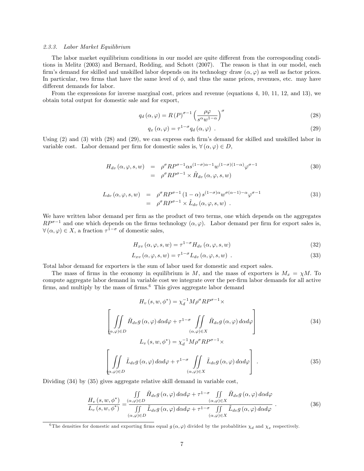#### 2.3.3. Labor Market Equilibrium

The labor market equilibrium conditions in our model are quite different from the corresponding conditions in Melitz (2003) and Bernard, Redding, and Schott (2007). The reason is that in our model, each firm's demand for skilled and unskilled labor depends on its technology draw  $(\alpha, \varphi)$  as well as factor prices. In particular, two firms that have the same level of  $\phi$ , and thus the same prices, revenues, etc. may have different demands for labor.

From the expressions for inverse marginal cost, prices and revenue (equations 4, 10, 11, 12, and 13), we obtain total output for domestic sale and for export,

$$
q_d\left(\alpha,\varphi\right) = R\left(P\right)^{\sigma-1}\left(\frac{\rho\varphi}{s^{\alpha}w^{1-\alpha}}\right)^{\sigma}
$$
\n(28)

$$
q_x(\alpha,\varphi) = \tau^{1-\sigma} q_d(\alpha,\varphi) \tag{29}
$$

Using  $(2)$  and  $(3)$  with  $(28)$  and  $(29)$ , we can express each firm's demand for skilled and unskilled labor in variable cost. Labor demand per firm for domestic sales is,  $\forall (\alpha, \varphi) \in D$ ,

$$
H_{dv}(\alpha, \varphi, s, w) = \rho^{\sigma} R P^{\sigma-1} \alpha s^{(1-\sigma)\alpha-1} w^{(1-\sigma)(1-\alpha)} \varphi^{\sigma-1}
$$
  

$$
= \rho^{\sigma} R P^{\sigma-1} \times \tilde{H}_{dv}(\alpha, \varphi, s, w)
$$
 (30)

$$
L_{dv}(\alpha, \varphi, s, w) = \rho^{\sigma} R P^{\sigma - 1} (1 - \alpha) s^{(1 - \sigma)\alpha} w^{\sigma(\alpha - 1) - \alpha} \varphi^{\sigma - 1}
$$
  
= 
$$
\rho^{\sigma} R P^{\sigma - 1} \times \tilde{L}_{dv} (\alpha, \varphi, s, w) .
$$
 (31)

We have written labor demand per firm as the product of two terms, one which depends on the aggregates  $RP^{\sigma-1}$  and one which depends on the firms technology  $(\alpha, \varphi)$ . Labor demand per firm for export sales is,  $\forall (\alpha, \varphi) \in X$ , a fraction  $\tau^{1-\sigma}$  of domestic sales,

$$
H_{xv}(\alpha, \varphi, s, w) = \tau^{1-\sigma} H_{dv}(\alpha, \varphi, s, w)
$$
\n(32)

$$
L_{xv}(\alpha, \varphi, s, w) = \tau^{1-\sigma} L_{dv}(\alpha, \varphi, s, w) . \tag{33}
$$

Total labor demand for exporters is the sum of labor used for domestic and export sales.

The mass of firms in the economy in equilibrium is M, and the mass of exporters is  $M_x = \chi M$ . To compute aggregate labor demand in variable cost we integrate over the per-firm labor demands for all active firms, and multiply by the mass of firms.<sup>6</sup> This gives aggregate labor demand

$$
H_v(s, w, \phi^*) = \chi_d^{-1} M \rho^{\sigma} R P^{\sigma - 1} \times
$$
  

$$
\left[ \iint_{(\alpha, \varphi) \in D} \tilde{H}_{dv} g(\alpha, \varphi) d\alpha d\varphi + \tau^{1 - \sigma} \iint_{(\alpha, \varphi) \in X} \tilde{H}_{dv} g(\alpha, \varphi) d\alpha d\varphi \right]
$$

$$
L_v(s, w, \phi^*) = \chi_d^{-1} M \rho^{\sigma} R P^{\sigma - 1} \times
$$
  

$$
\left[ \iint_{(\alpha, \varphi) \in D} \tilde{L}_{dv} g(\alpha, \varphi) d\alpha d\varphi + \tau^{1 - \sigma} \iint_{(\alpha, \varphi) \in X} \tilde{L}_{dv} g(\alpha, \varphi) d\alpha d\varphi \right].
$$
 (35)

Dividing (34) by (35) gives aggregate relative skill demand in variable cost,

$$
\frac{H_v(s, w, \phi^*)}{L_v(s, w, \phi^*)} = \frac{\iint\limits_{(\alpha, \varphi) \in D} \tilde{H}_{dv} g(\alpha, \varphi) d\alpha d\varphi + \tau^{1-\sigma} \iint\limits_{(\alpha, \varphi) \in X} \tilde{H}_{dv} g(\alpha, \varphi) d\alpha d\varphi}{\iint\limits_{(\alpha, \varphi) \in D} \tilde{L}_{dv} g(\alpha, \varphi) d\alpha d\varphi + \tau^{1-\sigma} \iint\limits_{(\alpha, \varphi) \in X} \tilde{L}_{dv} g(\alpha, \varphi) d\alpha d\varphi}.
$$
\n(36)

<sup>&</sup>lt;sup>6</sup>The densities for domestic and exporting firms equal  $g(\alpha, \varphi)$  divided by the probablities  $\chi_d$  and  $\chi_x$  respectively.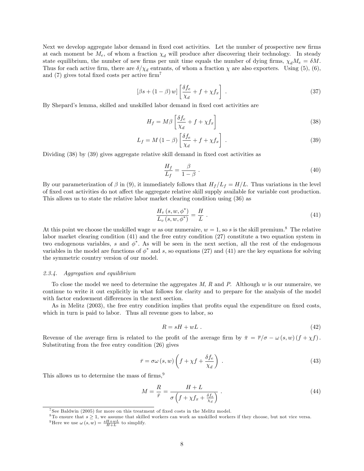Next we develop aggregate labor demand in fixed cost activities. Let the number of prospective new firms at each moment be  $M_e$ , of whom a fraction  $\chi_d$  will produce after discovering their technology. In steady state equilibrium, the number of new firms per unit time equals the number of dying firms,  $\chi_d M_e = \delta M$ . Thus for each active firm, there are  $\delta/\chi_d$  entrants, of whom a fraction  $\chi$  are also exporters. Using (5), (6), and  $(7)$  gives total fixed costs per active firm<sup>7</sup>

$$
[\beta s + (1 - \beta) w] \left[ \frac{\delta f_e}{\chi_d} + f + \chi f_x \right] \ . \tag{37}
$$

By Shepard's lemma, skilled and unskilled labor demand in fixed cost activities are

$$
H_f = M\beta \left[ \frac{\delta f_e}{\chi_d} + f + \chi f_x \right] \tag{38}
$$

$$
L_f = M\left(1 - \beta\right) \left[\frac{\delta f_e}{\chi_d} + f + \chi f_x\right] \tag{39}
$$

Dividing  $(38)$  by  $(39)$  gives aggregate relative skill demand in fixed cost activities as

$$
\frac{H_f}{L_f} = \frac{\beta}{1 - \beta} \tag{40}
$$

By our parameterization of  $\beta$  in (9), it immediately follows that  $H_f/L_f = H/L$ . Thus variations in the level of fixed cost activities do not affect the aggregate relative skill supply available for variable cost production. This allows us to state the relative labor market clearing condition using (36) as

$$
\frac{H_v(s, w, \phi^*)}{L_v(s, w, \phi^*)} = \frac{H}{L} \tag{41}
$$

At this point we choose the unskilled wage w as our numeraire,  $w = 1$ , so s is the skill premium.<sup>8</sup> The relative labor market clearing condition (41) and the free entry condition (27) constitute a two equation system in two endogenous variables, s and  $\phi^*$ . As will be seen in the next section, all the rest of the endogenous variables in the model are functions of  $\phi^*$  and s, so equations (27) and (41) are the key equations for solving the symmetric country version of our model.

#### 2.3.4. Aggregation and equilibrium

To close the model we need to determine the aggregates  $M$ ,  $R$  and  $P$ . Although  $w$  is our numeraire, we continue to write it out explicitly in what follows for clarity and to prepare for the analysis of the model with factor endowment differences in the next section.

As in Melitz (2003), the free entry condition implies that profits equal the expenditure on fixed costs, which in turn is paid to labor. Thus all revenue goes to labor, so

$$
R = sH + wL \tag{42}
$$

Revenue of the average firm is related to the profit of the average firm by  $\bar{\pi} = \bar{r}/\sigma - \omega(s, w)(f + \chi f)$ . Substituting from the free entry condition (26) gives

$$
\bar{r} = \sigma\omega\left(s, w\right)\left(f + \chi f + \frac{\delta f_e}{\chi_d}\right) \tag{43}
$$

This allows us to determine the mass of  $\text{firms}$ ,<sup>9</sup>

$$
M = \frac{R}{\bar{r}} = \frac{H + L}{\sigma \left( f + \chi f_x + \frac{\delta f_e}{\chi_d} \right)} \,. \tag{44}
$$

<sup>&</sup>lt;sup>7</sup> See Baldwin (2005) for more on this treatment of fixed costs in the Melitz model.

 $8$ To ensure that  $s \geq 1$ , we assume that skilled workers can work as unskilled workers if they choose, but not vice versa. <sup>9</sup>Here we use  $\omega(s, w) = \frac{sH + wL}{H + L}$  to simplify.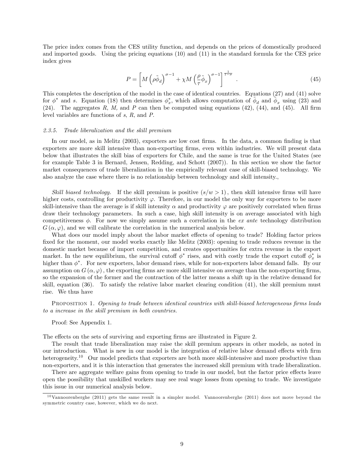The price index comes from the CES utility function, and depends on the prices of domestically produced and imported goods. Using the pricing equations (10) and (11) in the standard formula for the CES price index gives

$$
P = \left[ M \left( \rho \tilde{\phi}_d \right)^{\sigma - 1} + \chi M \left( \frac{\rho}{\tau} \tilde{\phi}_x \right)^{\sigma - 1} \right]^{\frac{1}{1 - \sigma}} . \tag{45}
$$

This completes the description of the model in the case of identical countries. Equations (27) and (41) solve for  $\phi^*$  and s. Equation (18) then determines  $\phi_x^*$ , which allows computation of  $\phi_d$  and  $\phi_x$  using (23) and (24). The aggregates R, M, and P can then be computed using equations (42), (44), and (45). All firm level variables are functions of s, R, and P.

#### 2.3.5. Trade liberalization and the skill premium

In our model, as in Melitz (2003), exporters are low cost firms. In the data, a common finding is that exporters are more skill intensive than non-exporting Örms, even within industries. We will present data below that illustrates the skill bias of exporters for Chile, and the same is true for the United States (see for example Table 3 in Bernard, Jensen, Redding, and Schott (2007)). In this section we show the factor market consequences of trade liberalization in the empirically relevant case of skill-biased technology. We also analyze the case where there is no relationship between technology and skill intensity.,

Skill biased technology. If the skill premium is positive  $(s/w > 1)$ , then skill intensive firms will have higher costs, controlling for productivity  $\varphi$ . Therefore, in our model the only way for exporters to be more skill-intensive than the average is if skill intensity  $\alpha$  and productivity  $\varphi$  are positively correlated when firms draw their technology parameters. In such a case, high skill intensity is on average associated with high competitiveness  $\phi$ . For now we simply assume such a correlation in the ex ante technology distribution  $G(\alpha,\varphi)$ , and we will calibrate the correlation in the numerical analysis below.

What does our model imply about the labor market effects of opening to trade? Holding factor prices fixed for the moment, our model works exactly like Melitz (2003): opening to trade reduces revenue in the domestic market because of import competition, and creates opportunities for extra revenue in the export market. In the new equilibrium, the survival cutoff  $\phi^*$  rises, and with costly trade the export cutoff  $\phi_x^*$  is higher than  $\phi^*$ . For new exporters, labor demand rises, while for non-exporters labor demand falls. By our assumption on  $G(\alpha,\varphi)$ , the exporting firms are more skill intensive on average than the non-exporting firms, so the expansion of the former and the contraction of the latter means a shift up in the relative demand for skill, equation (36). To satisfy the relative labor market clearing condition (41), the skill premium must rise. We thus have

PROPOSITION 1. Opening to trade between identical countries with skill-biased heterogeneous firms leads to a increase in the skill premium in both countries.

Proof: See Appendix 1.

The effects on the sets of surviving and exporting firms are illustrated in Figure 2.

The result that trade liberalization may raise the skill premium appears in other models, as noted in our introduction. What is new in our model is the integration of relative labor demand effects with firm heterogeneity.<sup>10</sup> Our model predicts that exporters are both more skill-intensive and more productive than non-exporters, and it is this interaction that generates the increased skill premium with trade liberalization.

There are aggregate welfare gains from opening to trade in our model, but the factor price effects leave open the possibility that unskilled workers may see real wage losses from opening to trade. We investigate this issue in our numerical analysis below.

 $10$ Vannoorenberghe (2011) gets the same result in a simpler model. Vannoorenberghe (2011) does not move beyond the symmetric country case, however, which we do next.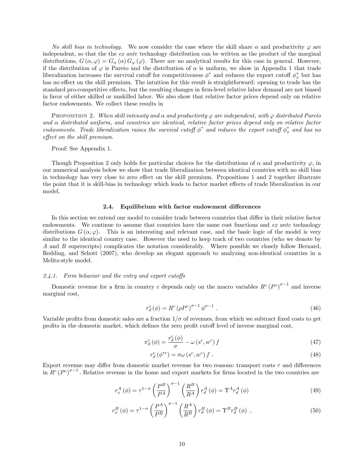No skill bias in technology. We now consider the case where the skill share  $\alpha$  and productivity  $\varphi$  are independent, so that the the ex ante technology distribution can be written as the product of the marginal distributions,  $G(\alpha, \varphi) = G_{\alpha}(\alpha) G_{\varphi}(\varphi)$ . There are no analytical results for this case in general. However, if the distribution of  $\varphi$  is Pareto and the distribution of  $\alpha$  is uniform, we show in Appendix 1 that trade liberalization increases the survival cutoff for competitiveness  $\phi^*$  and reduces the export cutoff  $\phi_x^*$  but has has no effect on the skill premium. The intuition for this result is straightforward: opening to trade has the standard pro-competitive effects, but the resulting changes in firm-level relative labor demand are not biased in favor of either skilled or unskilled labor. We also show that relative factor prices depend only on relative factor endowments. We collect these results in

PROPOSITION 2. When skill intensity and  $\alpha$  and productivity  $\varphi$  are independent, with  $\varphi$  distributed Pareto and  $\alpha$  distributed uniform, and countries are identical, relative factor prices depend only on relative factor endwoments. Trade liberalization raises the survival cutoff  $\phi^*$  and reduces the export cutoff  $\phi_x^*$  and has no effect on the skill premium.

Proof: See Appendix 1.

Though Proposition 2 only holds for particular choices for the distributions of  $\alpha$  and productivity  $\varphi$ , in our numerical analysis below we show that trade liberalization between identical countries with no skill bias in technology has very close to zero effect on the skill premium. Propositions 1 and 2 together illustrate the point that it is skill-bias in technology which leads to factor market effects of trade liberalization in our model.

#### 2.4. Equilibrium with factor endowment differences

In this section we extend our model to consider trade between countries that differ in their relative factor endowments. We continue to assume that countries have the same cost functions and  $ex$  ante technology distributions  $G(\alpha, \varphi)$ . This is an interesting and relevant case, and the basic logic of the model is very similar to the identical country case. However the need to keep track of two countries (who we denote by A and B superscripts) complicates the notation considerably. Where possible we closely follow Bernard, Redding, and Schott (2007), who develop an elegant approach to analyzing non-identical countries in a Melitz-style model.

#### 2.4.1. Firm behavior and the entry and export cutoffs

Domestic revenue for a firm in country c depends only on the macro variables  $R^c (P^c)^{\sigma-1}$  and inverse marginal cost,

$$
r_d^c(\phi) = R^c \left(\rho P^c\right)^{\sigma - 1} \phi^{\sigma - 1} . \tag{46}
$$

Variable profits from domestic sales are a fraction  $1/\sigma$  of revenues, from which we subtract fixed costs to get profits in the domestic market, which defines the zero profit cutoff level of inverse marginal cost,

$$
\pi_d^c(\phi) = \frac{r_d^c(\phi)}{\sigma} - \omega \left(s^c, w^c\right) f \tag{47}
$$

$$
r_d^c(\phi^{*c}) = \sigma\omega(s^c, w^c) f . \tag{48}
$$

Export revenue may differ from domestic market revenue for two reasons: transport costs  $\tau$  and differences in  $R^c(P^c)^{\sigma-1}$ . Relative revenue in the home and export markets for firms located in the two countries are

$$
r_x^A(\phi) = \tau^{1-\sigma} \left(\frac{P^B}{P^A}\right)^{\sigma-1} \left(\frac{R^B}{R^A}\right) r_d^A(\phi) = \Upsilon^A r_d^A(\phi)
$$
\n(49)

$$
r_x^B(\phi) = \tau^{1-\sigma} \left(\frac{P^A}{P^B}\right)^{\sigma-1} \left(\frac{R^A}{R^B}\right) r_d^B(\phi) = \Upsilon^B r_d^B(\phi) , \qquad (50)
$$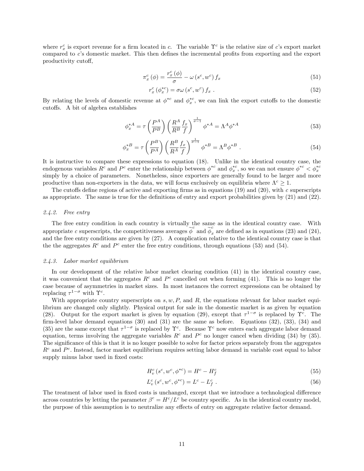where  $r_x^c$  is export revenue for a firm located in c. The variable  $\Upsilon^c$  is the relative size of c's export market compared to c's domestic market. This then defines the incremental profits from exporting and the export productivity cutoff,

$$
\pi_x^c(\phi) = \frac{r_x^c(\phi)}{\sigma} - \omega(s^c, w^c) f_x \tag{51}
$$

$$
r_x^c \left( \phi_x^{*c} \right) = \sigma \omega \left( s^c, w^c \right) f_x \tag{52}
$$

By relating the levels of domestic revenue at  $\phi^{*c}$  and  $\phi^{*c}_x$ , we can link the export cutoffs to the domestic cutoffs. A bit of algebra establishes

$$
\phi_x^{*A} = \tau \left(\frac{P^A}{P^B}\right) \left(\frac{R^A}{R^B} \frac{f_x}{f}\right)^{\frac{1}{\sigma-1}} \phi^{*A} = \Lambda^A \phi^{*A} \tag{53}
$$

$$
\phi_x^{*B} = \tau \left(\frac{P^B}{P^A}\right) \left(\frac{R^B}{R^A} \frac{f_x}{f}\right)^{\frac{1}{\sigma-1}} \phi^{*B} = \Lambda^B \phi^{*B} . \tag{54}
$$

It is instructive to compare these expressions to equation (18). Unlike in the identical country case, the endogenous variables  $R^c$  and  $P^c$  enter the relationship between  $\phi^{*c}$  and  $\phi_x^{*c}$ , so we can not ensure  $\phi^{*c} < \phi_x^{*c}$ simply by a choice of parameters. Nonetheless, since exporters are generally found to be larger and more productive than non-exporters in the data, we will focus exclusively on equilibria where  $\Lambda^c \geq 1$ .

The cutoffs define regions of active and exporting firms as in equations (19) and (20), with c superscripts as appropriate. The same is true for the definitions of entry and export probabilities given by  $(21)$  and  $(22)$ .

#### 2.4.2. Free entry

The free entry condition in each country is virtually the same as in the identical country case. With appropriate c superscripts, the competitiveness averages  $\phi^c$  and  $\phi^c_x$  are defined as in equations (23) and (24), and the free entry conditions are given by (27). A complication relative to the identical country case is that the the aggregates  $R^c$  and  $P^c$  enter the free entry conditions, through equations (53) and (54).

#### 2.4.3. Labor market equilibrium

In our development of the relative labor market clearing condition (41) in the identical country case, it was convenient that the aggregates  $R^c$  and  $P^c$  cancelled out when forming (41). This is no longer the case because of asymmetries in market sizes. In most instances the correct expressions can be obtained by replacing  $\tau^{1-\sigma}$  with  $\Upsilon^c$ .

With appropriate country superscripts on  $s, w, P$ , and  $R$ , the equations relevant for labor market equilibrium are changed only slightly. Physical output for sale in the domestic market is as given by equation (28). Output for the export market is given by equation (29), except that  $\tau^{1-\sigma}$  is replaced by  $\Upsilon^c$ . The firm-level labor demand equations  $(30)$  and  $(31)$  are the same as before. Equations  $(32)$ ,  $(33)$ ,  $(34)$  and (35) are the same except that  $\tau^{1-\sigma}$  is replaced by  $\Upsilon^c$ . Because  $\Upsilon^c$  now enters each aggregate labor demand equation, terms involving the aggregate variables  $R^c$  and  $P^c$  no longer cancel when dividing (34) by (35). The significance of this is that it is no longer possible to solve for factor prices separately from the aggregates  $R<sup>c</sup>$  and  $P<sup>c</sup>$ . Instead, factor market equilibrium requires setting labor demand in variable cost equal to labor supply minus labor used in fixed costs:

$$
H_v^c(s^c, w^c, \phi^{*c}) = H^c - H_f^c \tag{55}
$$

$$
L_v^c(s^c, w^c, \phi^{*c}) = L^c - L_f^c.
$$
\n(56)

The treatment of labor used in fixed costs is unchanged, except that we introduce a technological difference across countries by letting the parameter  $\beta^c = H^c/L^c$  be country specific. As in the identical country model, the purpose of this assumption is to neutralize any effects of entry on aggregate relative factor demand.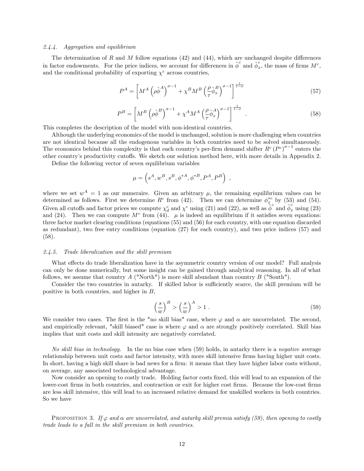#### 2.4.4. Aggregation and equilibrium

The determination of R and M follow equations  $(42)$  and  $(44)$ , which are unchanged despite differences in factor endowments. For the price indices, we account for differences in  $\phi^c$  and  $\phi^c$  $\frac{c}{x}$ , the mass of firms  $M^c$ , and the conditional probability of exporting  $\chi^c$  across countries,

$$
P^{A} = \left[ M^{A} \left( \rho \tilde{\phi}^{A} \right)^{\sigma - 1} + \chi^{B} M^{B} \left( \frac{\rho}{\tau} \tilde{\phi}_{x}^{B} \right)^{\sigma - 1} \right]^{\frac{1}{1 - \sigma}}
$$
(57)

$$
P^{B} = \left[ M^{B} \left( \rho \tilde{\phi}^{B} \right)^{\sigma-1} + \chi^{A} M^{A} \left( \frac{\rho}{\tau} \tilde{\phi}_{x}^{A} \right)^{\sigma-1} \right]^{\frac{1}{1-\sigma}} . \tag{58}
$$

This completes the description of the model with non-identical countries.

Although the underlying economics of the model is unchanged, solution is more challenging when countries are not identical because all the endogenous variables in both countries need to be solved simultaneously. The economics behind this complexity is that each country's per-firm demand shifter  $R^c(P^c)^{\sigma-1}$  enters the other countryís productivity cuto§s. We sketch our solution method here, with more details in Appendix 2.

Define the following vector of seven equilibrium variables

$$
\mu = \left( s^A, w^B, s^B, \phi^{*A}, \phi^{*B}, P^A, P^B \right) ,
$$

where we set  $w^A = 1$  as our numeraire. Given an arbitrary  $\mu$ , the remaining equilibrium values can be determined as follows. First we determine  $R^c$  from (42). Then we can determine  $\phi_x^{*c}$  by (53) and (54). Given all cutoffs and factor prices we compute  $\chi_d^c$  and  $\chi_c^c$  using (21) and (22), as well as  $\tilde{\phi}^c$  and  $\tilde{\phi}^c_x$  using (23) and (24). Then we can compute  $M<sup>c</sup>$  from (44).  $\mu$  is indeed an equilibrium if it satisfies seven equations: three factor market clearing conditions (equations (55) and (56) for each country, with one equation discarded as redundant), two free entry conditions (equation (27) for each country), and two price indices (57) and (58).

#### 2.4.5. Trade liberalization and the skill premium

What effects do trade liberalization have in the asymmetric country version of our model? Full analysis can only be done numerically, but some insight can be gained through analytical reasoning. In all of what follows, we assume that country  $A$  ("North") is more skill abundant than country  $B$  ("South").

Consider the two countries in autarky. If skilled labor is sufficiently scarce, the skill premium will be positive in both countries, and higher in B,

$$
\left(\frac{s}{w}\right)^B > \left(\frac{s}{w}\right)^A > 1\tag{59}
$$

We consider two cases. The first is the "no skill bias" case, where  $\varphi$  and  $\alpha$  are uncorrelated. The second, and empirically relevant, "skill biased" case is where  $\varphi$  and  $\alpha$  are strongly positively correlated. Skill bias implies that unit costs and skill intensity are negatively correlated.

No skill bias in technology. In the no bias case when (59) holds, in autarky there is a negative average relationship between unit costs and factor intensity, with more skill intensive firms having higher unit costs. In short, having a high skill share is bad news for a firm: it means that they have higher labor costs without, on average, any associated technological advantage.

Now consider an opening to costly trade. Holding factor costs Öxed, this will lead to an expansion of the lower-cost firms in both countries, and contraction or exit for higher cost firms. Because the low-cost firms are less skill intensive, this will lead to an increased relative demand for unskilled workers in both countries. So we have

PROPOSITION 3. If  $\varphi$  and  $\alpha$  are uncorrelated, and autarky skill premia satisfy (59), then opening to costly trade leads to a fall in the skill premium in both countries.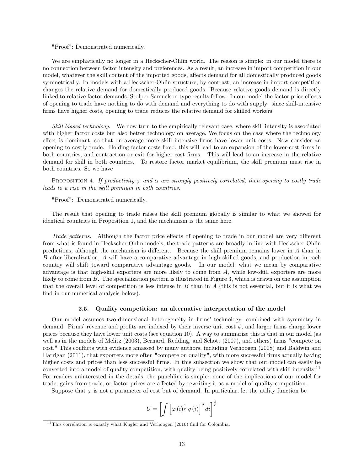#### "Proof": Demonstrated numerically.

We are emphatically no longer in a Heckscher-Ohlin world. The reason is simple: in our model there is no connection between factor intensity and preferences. As a result, an increase in import competition in our model, whatever the skill content of the imported goods, affects demand for all domestically produced goods symmetrically. In models with a Heckscher-Ohlin structure, by contrast, an increase in import competition changes the relative demand for domestically produced goods. Because relative goods demand is directly linked to relative factor demands, Stolper-Samuelson type results follow. In our model the factor price effects of opening to trade have nothing to do with demand and everything to do with supply: since skill-intensive firms have higher costs, opening to trade reduces the relative demand for skilled workers.

Skill biased technology. We now turn to the empirically relevant case, where skill intensity is associated with higher factor costs but also better technology on average. We focus on the case where the technology effect is dominant, so that on average more skill intensive firms have lower unit costs. Now consider an opening to costly trade. Holding factor costs Öxed, this will lead to an expansion of the lower-cost Örms in both countries, and contraction or exit for higher cost Örms. This will lead to an increase in the relative demand for skill in both countries. To restore factor market equilibrium, the skill premium must rise in both countries. So we have

PROPOSITION 4. If productivity  $\varphi$  and  $\alpha$  are strongly positively correlated, then opening to costly trade leads to a rise in the skill premium in both countries.

"Proof": Demonstrated numerically.

The result that opening to trade raises the skill premium globally is similar to what we showed for identical countries in Proposition 1, and the mechanism is the same here.

Trade patterns. Although the factor price effects of opening to trade in our model are very different from what is found in Heckscher-Ohlin models, the trade patterns are broadly in line with Heckscher-Ohlin predictions, although the mechanism is different. Because the skill premium remains lower in  $A$  than in B after liberalization, A will have a comparative advantage in high skilled goods, and production in each country will shift toward comparative advantage goods. In our model, what we mean by comparative advantage is that high-skill exporters are more likely to come from A, while low-skill exporters are more likely to come from B. The specialization pattern is illustrated in Figure 3, which is drawn on the assumption that the overall level of competition is less intense in  $B$  than in  $A$  (this is not essential, but it is what we find in our numerical analysis below).

#### 2.5. Quality competition: an alternative interpretation of the model

Our model assumes two-dimensional heterogeneity in firms' technology, combined with symmetry in demand. Firms' revenue and profits are indexed by their inverse unit cost  $\phi$ , and larger firms charge lower prices because they have lower unit costs (see equation 10). A way to summarize this is that in our model (as well as in the models of Melitz (2003), Bernard, Redding, and Schott (2007), and others) firms "compete on cost." This conflicts with evidence amassed by many authors, including Verhoogen (2008) and Baldwin and Harrigan (2011), that exporters more often "compete on quality", with more successful firms actually having higher costs and prices than less successful firms. In this subsection we show that our model can easily be converted into a model of quality competition, with quality being positively correlated with skill intensity.<sup>11</sup> For readers uninterested in the details, the punchline is simple: none of the implications of our model for trade, gains from trade, or factor prices are affected by rewriting it as a model of quality competition.

Suppose that  $\varphi$  is not a parameter of cost but of demand. In particular, let the utility function be

$$
U = \left[ \int \left[ \varphi \left( i \right)^{\frac{1}{\rho}} q \left( i \right) \right]^{\rho} di \right]^{\frac{1}{\rho}}
$$

 $11$  This correlation is exactly what Kugler and Verhoogen (2010) find for Colombia.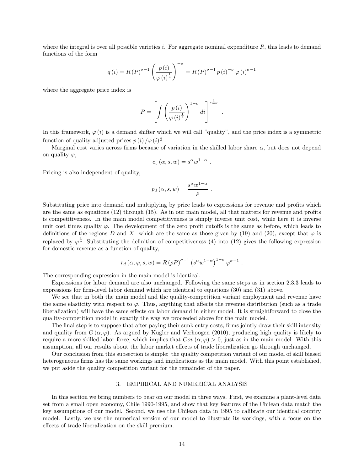where the integral is over all possible varieties i. For aggregate nominal expenditure  $R$ , this leads to demand functions of the form

$$
q(i) = R(P)^{\sigma - 1} \left(\frac{p(i)}{\varphi(i)^{\frac{1}{p}}}\right)^{-\sigma} = R(P)^{\sigma - 1} p(i)^{-\sigma} \varphi(i)^{\sigma - 1}
$$

where the aggregate price index is

$$
P = \left[ \int \left( \frac{p(i)}{\varphi(i)^{\frac{1}{\rho}}} \right)^{1-\sigma} di \right]^{\frac{1}{1-\sigma}}
$$

:

In this framework,  $\varphi(i)$  is a demand shifter which we will call "quality", and the price index is a symmetric function of quality-adjusted prices  $p(i)/\varphi(i)^{\frac{1}{p}}$ .

Marginal cost varies across firms because of variation in the skilled labor share  $\alpha$ , but does not depend on quality  $\varphi$ ,

$$
c_v(\alpha, s, w) = s^{\alpha} w^{1-\alpha} .
$$

Pricing is also independent of quality,

$$
p_d(\alpha, s, w) = \frac{s^{\alpha} w^{1-\alpha}}{\rho} .
$$

Substituting price into demand and multiplying by price leads to expressions for revenue and profits which are the same as equations  $(12)$  through  $(15)$ . As in our main model, all that matters for revenue and profits is competitiveness. In the main model competitiveness is simply inverse unit cost, while here it is inverse unit cost times quality  $\varphi$ . The development of the zero profit cutoffs is the same as before, which leads to definitions of the regions D and X which are the same as those given by (19) and (20), except that  $\varphi$  is replaced by  $\varphi^{\frac{1}{p}}$ . Substituting the definition of competitiveness (4) into (12) gives the following expression for domestic revenue as a function of quality,

$$
r_d(\alpha, \varphi, s, w) = R(\rho P)^{\sigma - 1} (s^{\alpha} w^{1 - \alpha})^{1 - \sigma} \varphi^{\sigma - 1}.
$$

The corresponding expression in the main model is identical.

Expressions for labor demand are also unchanged. Following the same steps as in section 2.3.3 leads to expressions for firm-level labor demand which are identical to equations  $(30)$  and  $(31)$  above.

We see that in both the main model and the quality-competition variant employment and revenue have the same elasticity with respect to  $\varphi$ . Thus, anything that affects the revenue distribution (such as a trade liberalization) will have the same effects on labor demand in either model. It is straightforward to close the quality-competition model in exactly the way we proceeded above for the main model.

The final step is to suppose that after paying their sunk entry costs, firms jointly draw their skill intensity and quality from  $G(\alpha, \varphi)$ . As argued by Kugler and Verhoogen (2010), producing high quality is likely to require a more skilled labor force, which implies that  $Cov(\alpha, \varphi) > 0$ , just as in the main model. With this assumption, all our results about the labor market effects of trade liberalization go through unchanged.

Our conclusion from this subsection is simple: the quality competition variant of our model of skill biased heterogeneous firms has the same workings and implications as the main model. With this point established, we put aside the quality competition variant for the remainder of the paper.

#### 3. EMPIRICAL AND NUMERICAL ANALYSIS

In this section we bring numbers to bear on our model in three ways. First, we examine a plant-level data set from a small open economy, Chile 1990-1995, and show that key features of the Chilean data match the key assumptions of our model. Second, we use the Chilean data in 1995 to calibrate our identical country model. Lastly, we use the numerical version of our model to illustrate its workings, with a focus on the effects of trade liberalization on the skill premium.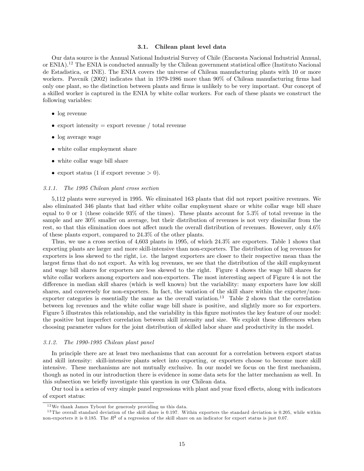#### 3.1. Chilean plant level data

Our data source is the Annual National Industrial Survey of Chile (Encuesta Nacional Industrial Annual, or ENIA).<sup>12</sup> The ENIA is conducted annually by the Chilean government statistical office (Instituto Nacional de Estadistica, or INE). The ENIA covers the universe of Chilean manufacturing plants with 10 or more workers. Pavcnik (2002) indicates that in 1979-1986 more than  $90\%$  of Chilean manufacturing firms had only one plant, so the distinction between plants and firms is unlikely to be very important. Our concept of a skilled worker is captured in the ENIA by white collar workers. For each of these plants we construct the following variables:

- log revenue
- $\bullet$  export intensity = export revenue / total revenue
- log average wage
- white collar employment share
- white collar wage bill share
- export status (1 if export revenue  $> 0$ ).

#### 3.1.1. The 1995 Chilean plant cross section

5,112 plants were surveyed in 1995. We eliminated 163 plants that did not report positive revenues. We also eliminated 346 plants that had either white collar employment share or white collar wage bill share equal to 0 or 1 (these coincide 93% of the times). These plants account for 5.3% of total revenue in the sample and are 30% smaller on average, but their distribution of revenues is not very dissimilar from the rest, so that this elimination does not affect much the overall distribution of revenues. However, only  $4.6\%$ of these plants export, compared to 24.3% of the other plants.

Thus, we use a cross section of 4,603 plants in 1995, of which 24.3% are exporters. Table 1 shows that exporting plants are larger and more skill-intensive than non-exporters. The distribution of log revenues for exporters is less skewed to the right, i.e. the largest exporters are closer to their respective mean than the largest firms that do not export. As with log revenues, we see that the distribution of the skill employment and wage bill shares for exporters are less skewed to the right. Figure 4 shows the wage bill shares for white collar workers among exporters and non-exporters. The most interesting aspect of Figure 4 is not the difference in median skill shares (which is well known) but the variability: many exporters have low skill shares, and conversely for non-exporters. In fact, the variation of the skill share within the exporter/nonexporter categories is essentially the same as the overall variation.<sup>13</sup> Table 2 shows that the correlation between log revenues and the white collar wage bill share is positive, and slightly more so for exporters. Figure 5 illustrates this relationship, and the variability in this figure motivates the key feature of our model: the positive but imperfect correlation between skill intensity and size. We exploit these differences when choosing parameter values for the joint distribution of skilled labor share and productivity in the model.

#### 3.1.2. The 1990-1995 Chilean plant panel

In principle there are at least two mechanisms that can account for a correlation between export status and skill intensity: skill-intensive plants select into exporting, or exporters choose to become more skill intensive. These mechanisms are not mutually exclusive. In our model we focus on the first mechanism, though as noted in our introduction there is evidence in some data sets for the latter mechanism as well. In this subsection we briefly investigate this question in our Chilean data.

Our tool is a series of very simple panel regressions with plant and year fixed effects, along with indicators of export status:

<sup>12</sup>We thank James Tybout for generosly providing us this data.

 $13$  The overall standard deviation of the skill share is 0.197. Within exporters the standard deviation is 0.205, while within non-exporters it is 0.185. The  $R^2$  of a regression of the skill share on an indicator for export status is just 0.07.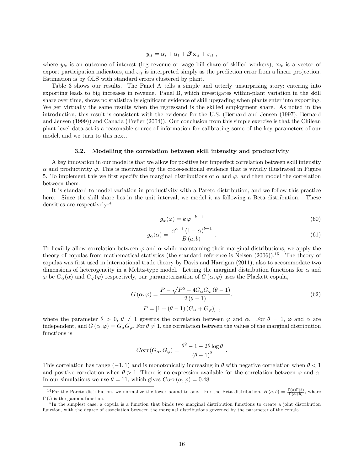$$
y_{it} = \alpha_i + \alpha_t + \beta' \mathbf{x}_{it} + \varepsilon_{it} ,
$$

where  $y_{it}$  is an outcome of interest (log revenue or wage bill share of skilled workers),  $\mathbf{x}_{it}$  is a vector of export participation indicators, and  $\varepsilon_{it}$  is interpreted simply as the prediction error from a linear projection. Estimation is by OLS with standard errors clustered by plant.

Table 3 shows our results. The Panel A tells a simple and utterly unsurprising story: entering into exporting leads to big increases in revenue. Panel B, which investigates within-plant variation in the skill share over time, shows no statistically significant evidence of skill upgrading when plants enter into exporting. We get virtually the same results when the regressand is the skilled employment share. As noted in the introduction, this result is consistent with the evidence for the U.S. (Bernard and Jensen (1997), Bernard and Jensen (1999)) and Canada (Trefler (2004)). Our conclusion from this simple exercise is that the Chilean plant level data set is a reasonable source of information for calibrating some of the key parameters of our model, and we turn to this next.

#### 3.2. Modelling the correlation between skill intensity and productivity

A key innovation in our model is that we allow for positive but imperfect correlation between skill intensity  $\alpha$  and productivity  $\varphi$ . This is motivated by the cross-sectional evidence that is vividly illustrated in Figure 5. To implement this we first specify the marginal distributions of  $\alpha$  and  $\varphi$ , and then model the correlation between them.

It is standard to model variation in productivity with a Pareto distribution, and we follow this practice here. Since the skill share lies in the unit interval, we model it as following a Beta distribution. These densities are respectively<sup>14</sup>

$$
g_{\varphi}(\varphi) = k \, \varphi^{-k-1} \tag{60}
$$

$$
g_{\alpha}(\alpha) = \frac{\alpha^{a-1} (1-\alpha)^{b-1}}{B(a,b)} \tag{61}
$$

To flexibly allow correlation between  $\varphi$  and  $\alpha$  while maintaining their marginal distributions, we apply the theory of copulas from mathematical statistics (the standard reference is Nelsen  $(2006)$ ).<sup>15</sup> The theory of copulas was first used in international trade theory by Davis and Harrigan (2011), also to accommodate two dimensions of heterogeneity in a Melitz-type model. Letting the marginal distribution functions for  $\alpha$  and  $\varphi$  be  $G_{\alpha}(\alpha)$  and  $G_{\varphi}(\varphi)$  respectively, our parameterization of  $G(\alpha,\varphi)$  uses the Plackett copula,

$$
G(\alpha, \varphi) = \frac{P - \sqrt{P^2 - 4G_{\alpha}G_{\varphi}(\theta - 1)}}{2(\theta - 1)},
$$
  
\n
$$
P = [1 + (\theta - 1)(G_{\alpha} + G_{\varphi})],
$$
\n(62)

:

where the parameter  $\theta > 0$ ,  $\theta \neq 1$  governs the correlation between  $\varphi$  and  $\alpha$ . For  $\theta = 1$ ,  $\varphi$  and  $\alpha$  are independent, and  $G(\alpha, \varphi) = G_{\alpha} G_{\varphi}$ . For  $\theta \neq 1$ , the correlation between the values of the marginal distribution functions is

$$
Corr(G_{\alpha}, G_{\varphi}) = \frac{\theta^2 - 1 - 2\theta \log \theta}{\left(\theta - 1\right)^2}
$$

This correlation has range  $(-1, 1)$  and is monotonically increasing in  $\theta$ , with negative correlation when  $\theta < 1$ and positive correlation when  $\theta > 1$ . There is no expression available for the correlation between  $\varphi$  and  $\alpha$ . In our simulations we use  $\theta = 11$ , which gives  $Corr(\alpha, \varphi) = 0.48$ .

<sup>&</sup>lt;sup>14</sup>For the Pareto distribution, we normalize the lower bound to one. For the Beta distribution,  $B(a,b) = \frac{\Gamma(a)\Gamma(b)}{\Gamma(a+b)}$ , where  $\Gamma(.)$  is the gamma function.

 $15$ In the simplest case, a copula is a function that binds two marginal distribution functions to create a joint distribution function, with the degree of association between the marginal distributions governed by the parameter of the copula.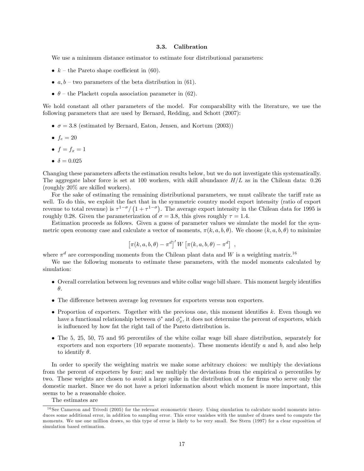#### 3.3. Calibration

We use a minimum distance estimator to estimate four distributional parameters:

- $k$  the Pareto shape coefficient in (60).
- $a, b$  two parameters of the beta distribution in (61).
- $\bullet$   $\theta$  the Plackett copula association parameter in (62).

We hold constant all other parameters of the model. For comparability with the literature, we use the following parameters that are used by Bernard, Redding, and Schott (2007):

- $\bullet$   $\sigma = 3.8$  (estimated by Bernard, Eaton, Jensen, and Kortum (2003))
- $\bullet$   $f_e = 20$
- $f = f_x = 1$
- $\bullet$   $\delta = 0.025$

Changing these parameters affects the estimation results below, but we do not investigate this systematically. The aggregate labor force is set at 100 workers, with skill abundance  $H/L$  as in the Chilean data: 0.26 (roughly 20% are skilled workers).

For the sake of estimating the remaining distributional parameters, we must calibrate the tariff rate as well. To do this, we exploit the fact that in the symmetric country model export intensity (ratio of export revenue to total revenue) is  $\tau^{1-\sigma}/(1+\tau^{1-\sigma})$ . The average export intensity in the Chilean data for 1995 is roughly 0.28. Given the parameterization of  $\sigma = 3.8$ , this gives roughly  $\tau = 1.4$ .

Estimation proceeds as follows. Given a guess of parameter values we simulate the model for the symmetric open economy case and calculate a vector of moments,  $\pi(k, a, b, \theta)$ . We choose  $(k, a, b, \theta)$  to minimize

$$
\left[\pi(k, a, b, \theta) - \pi^d\right]' W \left[\pi(k, a, b, \theta) - \pi^d\right] ,
$$

where  $\pi^d$  are corresponding moments from the Chilean plant data and W is a weighting matrix.<sup>16</sup>

We use the following moments to estimate these parameters, with the model moments calculated by simulation:

- Overall correlation between log revenues and white collar wage bill share. This moment largely identifies  $\theta$ .
- The difference between average log revenues for exporters versus non exporters.
- Proportion of exporters. Together with the previous one, this moment identifies  $k$ . Even though we have a functional relationship between  $\phi^*$  and  $\phi_x^*$ , it does not determine the percent of exporters, which is influenced by how fat the right tail of the Pareto distribution is.
- The 5, 25, 50, 75 and 95 percentiles of the white collar wage bill share distribution, separately for exporters and non exporters (10 separate moments). These moments identify a and b, and also help to identify  $\theta$ .

In order to specify the weighting matrix we make some arbitrary choices: we multiply the deviations from the percent of exporters by four; and we multiply the deviations from the empirical  $\alpha$  percentiles by two. These weights are chosen to avoid a large spike in the distribution of  $\alpha$  for firms who serve only the domestic market. Since we do not have a priori information about which moment is more important, this seems to be a reasonable choice.

The estimates are

 $16$  See Cameron and Trivedi (2005) for the relevant econometric theory. Using simulation to calculate model moments introduces some additional error, in addition to sampling error. This error vanishes with the number of draws used to compute the moments. We use one million draws, so this type of error is likely to be very small. See Stern (1997) for a clear exposition of simulation based estimation.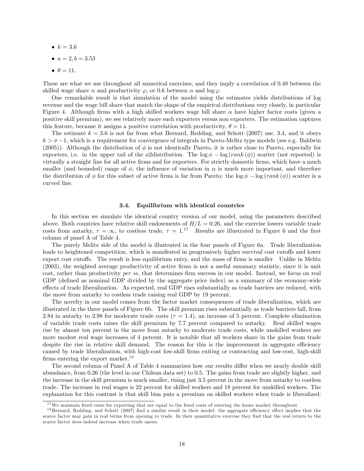- $k = 3.6$
- $a = 2, b = 3.53$
- $\bullet$   $\theta = 11$ .

These are what we use throughout all numerical exercises, and they imply a correlation of 0.48 between the skilled wage share  $\alpha$  and productivity  $\varphi$ , or 0.6 between  $\alpha$  and log  $\varphi$ .

One remarkable result is that simulation of the model using the estimates yields distributions of log revenue and the wage bill share that match the shape of the empirical distributions very closely, in particular Figure 4. Although firms with a high skilled workers wage bill share  $\alpha$  have higher factor costs (given a positive skill premium), we see relatively more such exporters versus non exporters. The estimation captures this feature, because it assigns a positive correlation with productivity,  $\theta = 11$ .

The estimate  $k = 3.6$  is not far from what Bernard, Redding, and Schott (2007) use, 3.4, and it obeys  $k > \sigma - 1$ , which is a requirement for convergence of integrals in Pareto-Melitz type models (see e.g. Baldwin (2005)). Although the distribution of  $\phi$  is not identically Pareto, it is rather close to Pareto, especially for exporters, i.e. in the upper tail of the  $\phi$ 2 distribution. The  $\log \phi - \log(rank (\phi))$  scatter (not reported) is virtually a straight line for all active Örms and for exporters. For strictly domestic Örms, which have a much smaller (and bounded) range of  $\phi$ , the influence of variation in  $\alpha$  is much more important, and therefore the distribution of  $\phi$  for this subset of active firms is far from Pareto: the  $\log \phi - \log (rank (\phi))$  scatter is a curved line.

#### 3.4. Equilibrium with identical countries

In this section we simulate the identical country version of our model, using the parameters described above. Both countries have relative skill endowments of  $H/L = 0.26$ , and the exercise lowers variable trade costs from autarky,  $\tau = \infty$ , to costless trade,  $\tau = 1$ .<sup>17</sup> Results are illustrated in Figure 6 and the first column of panel A of Table 4.

The purely Melitz side of the model is illustrated in the four panels of Figure 6a. Trade liberalization leads to heightened competition, which is manifested in progressively higher survival cost cutoffs and lower export cost cutoffs. The result is less equilibrium entry, and the mass of firms is smaller. Unlike in Melitz (2003), the weighted average productivity of active Örms is not a useful summary statistic, since it is unit cost, rather than productivity per se, that determines firm success in our model. Instead, we focus on real GDP (defined as nominal GDP divided by the aggregate price index) as a summary of the economy-wide effects of trade liberalization. As expected, real GDP rises substantially as trade barriers are reduced, with the move from autarky to costless trade raising real GDP by 19 percent.

The novelty in our model comes from the factor market consequences of trade liberalization, which are illustrated in the three panels of Figure 6b. The skill premium rises substantially as trade barriers fall, from 2.84 in autarky to 2.98 for moderate trade costs ( $\tau = 1.4$ ), an increase of 5 percent. Complete elimination of variable trade costs raises the skill premium by 7.7 percent compared to autarky. Real skilled wages rise by almost ten percent in the move from autarky to moderate trade costs, while unskilled workers see more modest real wage increases of 4 percent. It is notable that all workers share in the gains from trade despite the rise in relative skill demand. The reason for this is the improvement in aggregate efficiency caused by trade liberalization, with high-cost low-skill Örms exiting or contracting and low-cost, high-skill firms entering the export market.<sup>18</sup>

The second column of Panel A of Table 4 summarizes how our results differ when we nearly double skill abundance, from 0.26 (the level in our Chilean data set) to 0.5. The gains from trade are slightly higher, and the increase in the skill premium is much smaller, rising just 3.5 percent in the move from autarky to costless trade. The increase in real wages is 22 percent for skilled workers and 18 percent for unskilled workers. The explanation for this contrast is that skill bias puts a premium on skilled workers when trade is liberalized:

 $17$ We maintain fixed costs for exporting that are equal to the fixed costs of entering the home market throughout.

 $18$  Bernard, Redding, and Schott (2007) find a similar result in their model: the aggregate efficiency effect implies that the scarce factor may gain in real terms from opening to trade. In their quantitative exercise they find that the real return to the scarce factor does indeed increase when trade opens.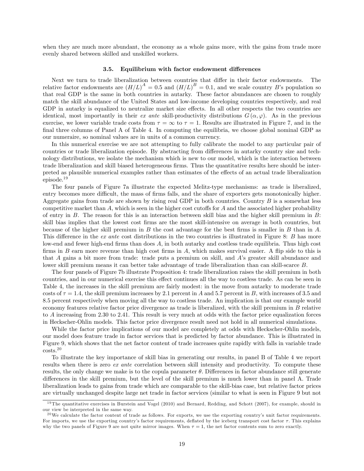when they are much more abundant, the economy as a whole gains more, with the gains from trade more evenly shared between skilled and unskilled workers.

#### 3.5. Equilibrium with factor endowment differences

Next we turn to trade liberalization between countries that differ in their factor endowments. The relative factor endowments are  $(H/L)^A = 0.5$  and  $(H/L)^B = 0.1$ , and we scale country B's population so that real GDP is the same in both countries in autarky. These factor abundances are chosen to roughly match the skill abundance of the United States and low-income developing countries respectively, and real GDP in autarky is equalized to neutralize market size effects. In all other respects the two countries are identical, most importantly in their ex ante skill-productivity distributions  $G(\alpha,\varphi)$ . As in the previous exercise, we lower variable trade costs from  $\tau = \infty$  to  $\tau = 1$ . Results are illustrated in Figure 7, and in the final three columns of Panel A of Table 4. In computing the equilibria, we choose global nominal GDP as our numeraire, so nominal values are in units of a common currency.

In this numerical exercise we are not attempting to fully calibrate the model to any particular pair of countries or trade liberalization episode. By abstracting from differences in autarky country size and technology distributions, we isolate the mechanism which is new to our model, which is the interaction between trade liberalization and skill biased heterogeneous firms. Thus the quantitative results here should be interpreted as plausible numerical examples rather than estimates of the effects of an actual trade liberalization episode.<sup>19</sup>

The four panels of Figure 7a illustrate the expected Melitz-type mechanisms: as trade is liberalized, entry becomes more difficult, the mass of firms falls, and the share of exporters gets monotonically higher. Aggregate gains from trade are shown by rising real GDP in both countries. Country  $B$  is a somewhat less competitive market than  $A$ , which is seen in the higher cost cutoffs for  $A$  and the associated higher probability of entry in  $B$ . The reason for this is an interaction between skill bias and the higher skill premium in  $B$ : skill bias implies that the lowest cost firms are the most skill-intensive on average in both countries, but because of the higher skill premium in  $B$  the cost advantage for the best firms is smaller in  $B$  than in  $A$ . This difference in the ex ante cost distributions in the two countries is illustrated in Figure 8:  $B$  has more low-end and fewer high-end firms than does A, in both autarky and costless trade equilibria. Thus high cost firms in  $B$  earn more revenue than high cost firms in  $A$ , which makes survival easier. A flip side to this is that A gains a bit more from trade: trade puts a premium on skill, and Aís greater skill abundance and lower skill premium means it can better take advantage of trade liberalization than can skill-scarce B.

The four panels of Figure 7b illustrate Proposition 4: trade liberalization raises the skill premium in both countries, and in our numerical exercise this effect continues all the way to costless trade. As can be seen in Table 4, the increases in the skill premium are fairly modest: in the move from autarky to moderate trade costs of  $\tau = 1.4$ , the skill premium increases by 2.1 percent in A and 5.7 percent in B, with increases of 3.5 and 8.5 percent respectively when moving all the way to costless trade. An implication is that our example world economy features relative factor price divergence as trade is liberalized, with the skill premium in B relative to A increasing from 2.30 to 2.41. This result is very much at odds with the factor price equalization forces in Heckscher-Ohlin models. This factor price divergence result need not hold in all numerical simulations.

While the factor price implications of our model are completely at odds with Heckscher-Ohlin models, our model does feature trade in factor services that is predicted by factor abundance. This is illustrated in Figure 9, which shows that the net factor content of trade increases quite rapidly with falls in variable trade costs.<sup>20</sup>

To illustrate the key importance of skill bias in generating our results, in panel B of Table 4 we report results when there is zero *ex ante* correlation between skill intensity and productivity. To compute these results, the only change we make is to the copula parameter  $\theta$ . Differences in factor abundance still generate differences in the skill premium, but the level of the skill premium is much lower than in panel A. Trade liberalization leads to gains from trade which are comparable to the skill-bias case, but relative factor prices are virtually unchanged despite large net trade in factor services (similar to what is seen in Figure 9 but not

<sup>&</sup>lt;sup>19</sup> The quantitative exercises in Burstein and Vogel  $(2010)$  and Bernard, Redding, and Schott  $(2007)$ , for example, should in our view be interpreted in the same way.

 $^{20}$ We calculate the factor content of trade as follows. For exports, we use the exporting country's unit factor requirements. For imports, we use the exporting country's factor requirements, deflated by the iceberg transport cost factor  $\tau$ . This explains why the two panels of Figure 9 are not quite mirror images. When  $\tau = 1$ , the net factor contents sum to zero exactly.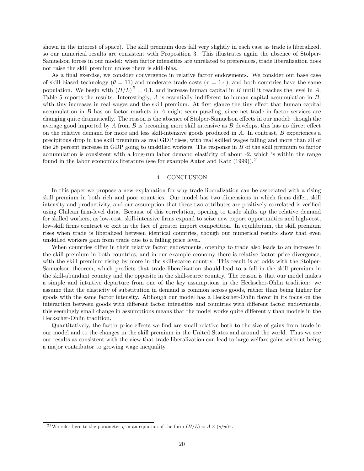shown in the interest of space). The skill premium does fall very slightly in each case as trade is liberalized, so our numerical results are consistent with Proposition 3. This illustrates again the absence of Stolper-Samuelson forces in our model: when factor intensities are unrelated to preferences, trade liberalization does not raise the skill premium unless there is skill-bias.

As a final exercise, we consider convergence in relative factor endowments. We consider our base case of skill biased technology ( $\theta = 11$ ) and moderate trade costs ( $\tau = 1.4$ ), and both countries have the same population. We begin with  $(H/L)^B = 0.1$ , and increase human capital in B until it reaches the level in A. Table 5 reports the results. Interestingly,  $A$  is essentially indifferent to human capital accumulation in  $B$ , with tiny increases in real wages and the skill premium. At first glance the tiny effect that human capital accumulation in  $B$  has on factor markets in  $A$  might seem puzzling, since net trade in factor services are changing quite dramatically. The reason is the absence of Stolper-Samuelson effects in our model: though the average good imported by A from B is becoming more skill intensive as B develops, this has no direct effect on the relative demand for more and less skill-intensive goods produced in A. In contrast, B experiences a precipitous drop in the skill premium as real GDP rises, with real skilled wages falling and more than all of the 28 percent increase in GDP going to unskilled workers. The response in B of the skill premium to factor accumulation is consistent with a long-run labor demand elasticity of about -2, which is within the range found in the labor economics literature (see for example Autor and Katz  $(1999)$ ).<sup>21</sup>

#### 4. CONCLUSION

In this paper we propose a new explanation for why trade liberalization can be associated with a rising skill premium in both rich and poor countries. Our model has two dimensions in which firms differ, skill intensity and productivity, and our assumption that these two attributes are positively correlated is verified using Chilean firm-level data. Because of this correlation, opening to trade shifts up the relative demand for skilled workers, as low-cost, skill-intensive firms expand to seize new export opportunities and high-cost, low-skill firms contract or exit in the face of greater import competition. In equilibrium, the skill premium rises when trade is liberalized between identical countries, though our numerical results show that even unskilled workers gain from trade due to a falling price level.

When countries differ in their relative factor endowments, opening to trade also leads to an increase in the skill premium in both countries, and in our example economy there is relative factor price divergence, with the skill premium rising by more in the skill-scarce country. This result is at odds with the Stolper-Samuelson theorem, which predicts that trade liberalization should lead to a fall in the skill premium in the skill-abundant country and the opposite in the skill-scarce country. The reason is that our model makes a simple and intuitive departure from one of the key assumptions in the Heckscher-Ohlin tradition: we assume that the elasticity of substitution in demand is common across goods, rather than being higher for goods with the same factor intensity. Although our model has a Heckscher-Ohlin áavor in its focus on the interaction between goods with different factor intensities and countries with different factor endowments, this seemingly small change in assumptions means that the model works quite differently than models in the Heckscher-Ohlin tradition.

Quantitatively, the factor price effects we find are small relative both to the size of gains from trade in our model and to the changes in the skill premium in the United States and around the world. Thus we see our results as consistent with the view that trade liberalization can lead to large welfare gains without being a major contributor to growing wage inequality.

<sup>&</sup>lt;sup>21</sup>We refer here to the parameter  $\eta$  in an equation of the form  $(H/L) = A \times (s/w)^{\eta}$ .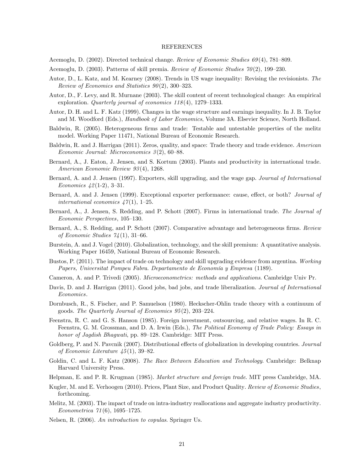#### REFERENCES

Acemoglu, D. (2002). Directed technical change. Review of Economic Studies  $69(4)$ , 781–809.

- Acemoglu, D. (2003). Patterns of skill premia. Review of Economic Studies  $70(2)$ , 199–230.
- Autor, D., L. Katz, and M. Kearney (2008). Trends in US wage inequality: Revising the revisionists. The Review of Economics and Statistics  $90(2)$ , 300–323.
- Autor, D., F. Levy, and R. Murnane (2003). The skill content of recent technological change: An empirical exploration. Quarterly journal of economics  $118(4)$ , 1279–1333.
- Autor, D. H. and L. F. Katz (1999). Changes in the wage structure and earnings inequality. In J. B. Taylor and M. Woodford (Eds.), *Handbook of Labor Economics*, Volume 3A. Elsevier Science, North Holland.
- Baldwin, R. (2005). Heterogeneous firms and trade: Testable and untestable properties of the melitz model. Working Paper 11471, National Bureau of Economic Research.
- Baldwin, R. and J. Harrigan (2011). Zeros, quality, and space: Trade theory and trade evidence. American Economic Journal: Microeconomics  $3(2)$ , 60–88.
- Bernard, A., J. Eaton, J. Jensen, and S. Kortum (2003). Plants and productivity in international trade. American Economic Review 93 (4), 1268.
- Bernard, A. and J. Jensen (1997). Exporters, skill upgrading, and the wage gap. Journal of International Economics  $42(1-2)$ , 3-31.
- Bernard, A. and J. Jensen (1999). Exceptional exporter performance: cause, effect, or both? Journal of international economics  $47(1)$ , 1–25.
- Bernard, A., J. Jensen, S. Redding, and P. Schott (2007). Firms in international trade. The Journal of Economic Perspectives, 105-130.
- Bernard, A., S. Redding, and P. Schott (2007). Comparative advantage and heterogeneous firms. Review of Economic Studies  $74(1)$ , 31–66.
- Burstein, A. and J. Vogel (2010). Globalization, technology, and the skill premium: A quantitative analysis. Working Paper 16459, National Bureau of Economic Research.
- Bustos, P. (2011). The impact of trade on technology and skill upgrading evidence from argentina. Working Papers, Universitat Pompeu Fabra. Departamento de Economía y Empresa (1189).
- Cameron, A. and P. Trivedi (2005). Microeconometrics: methods and applications. Cambridge Univ Pr.
- Davis, D. and J. Harrigan (2011). Good jobs, bad jobs, and trade liberalization. Journal of International Economics.
- Dornbusch, R., S. Fischer, and P. Samuelson (1980). Heckscher-Ohlin trade theory with a continuum of goods. The Quarterly Journal of Economics  $95(2)$ ,  $203-224$ .
- Feenstra, R. C. and G. S. Hanson (1985). Foreign investment, outsourcing, and relative wages. In R. C. Feenstra, G. M. Grossman, and D. A. Irwin (Eds.), The Political Economy of Trade Policy: Essays in honor of Jagdish Bhagwati, pp. 89-128. Cambridge: MIT Press.
- Goldberg, P. and N. Pavcnik (2007). Distributional effects of globalization in developing countries. Journal of Economic Literature  $\mu$ 5(1), 39–82.
- Goldin, C. and L. F. Katz (2008). The Race Between Education and Technology. Cambridge: Belknap Harvard University Press.
- Helpman, E. and P. R. Krugman (1985). Market structure and foreign trade. MIT press Cambridge, MA.
- Kugler, M. and E. Verhoogen (2010). Prices, Plant Size, and Product Quality. Review of Economic Studies, forthcoming.
- Melitz, M. (2003). The impact of trade on intra-industry reallocations and aggregate industry productivity. Econometrica  $71(6)$ , 1695-1725.
- Nelsen, R. (2006). An introduction to copulas. Springer Us.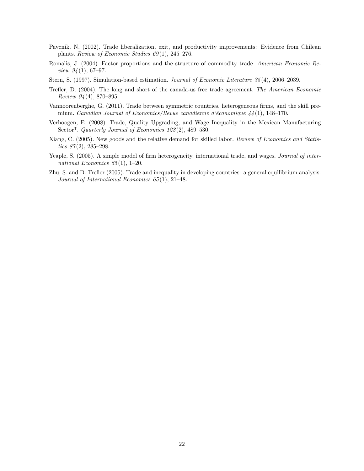- Pavcnik, N. (2002). Trade liberalization, exit, and productivity improvements: Evidence from Chilean plants. Review of Economic Studies  $69(1)$ , 245–276.
- Romalis, J. (2004). Factor proportions and the structure of commodity trade. American Economic Review  $94(1), 67-97.$
- Stern, S. (1997). Simulation-based estimation. Journal of Economic Literature  $35(4)$ , 2006–2039.
- Trefler, D. (2004). The long and short of the canada-us free trade agreement. The American Economic Review  $94(4)$ , 870-895.
- Vannoorenberghe, G. (2011). Trade between symmetric countries, heterogeneous firms, and the skill premium. Canadian Journal of Economics/Revue canadienne d'économique  $44(1)$ , 148-170.
- Verhoogen, E. (2008). Trade, Quality Upgrading, and Wage Inequality in the Mexican Manufacturing Sector\*. Quarterly Journal of Economics  $123(2)$ ,  $489-530$ .
- Xiang, C. (2005). New goods and the relative demand for skilled labor. Review of Economics and Statistics  $87(2)$ , 285-298.
- Yeaple, S. (2005). A simple model of firm heterogeneity, international trade, and wages. Journal of international Economics  $65(1)$ , 1–20.
- Zhu, S. and D. Treáer (2005). Trade and inequality in developing countries: a general equilibrium analysis. Journal of International Economics  $65(1)$ , 21-48.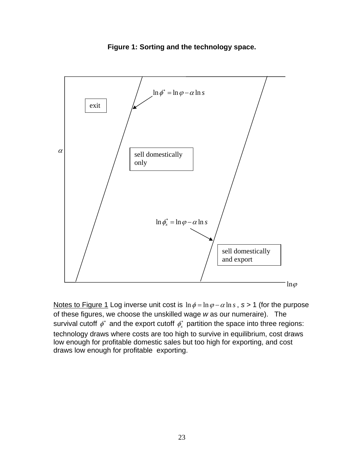

**Figure 1: Sorting and the technology space.** 

Notes to Figure 1 Log inverse unit cost is  $\ln \phi = \ln \phi - \alpha \ln s$ ,  $s > 1$  (for the purpose of these figures, we choose the unskilled wage *w* as our numeraire). The survival cutoff  $\phi^*$  and the export cutoff  $\phi^*_x$  partition the space into three regions: technology draws where costs are too high to survive in equilibrium, cost draws low enough for profitable domestic sales but too high for exporting, and cost draws low enough for profitable exporting.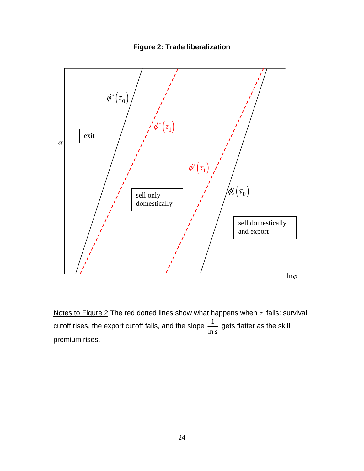



Notes to Figure 2 The red dotted lines show what happens when  $\tau$  falls: survival cutoff rises, the export cutoff falls, and the slope  $\frac{1}{1-\epsilon}$ ln *s* gets flatter as the skill premium rises.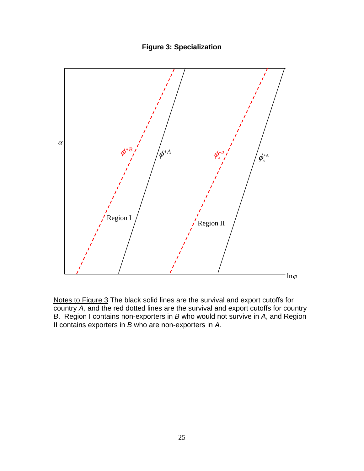



Notes to Figure 3 The black solid lines are the survival and export cutoffs for country *A,* and the red dotted lines are the survival and export cutoffs for country *B*. Region I contains non-exporters in *B* who would not survive in *A*, and Region II contains exporters in *B* who are non-exporters in *A.*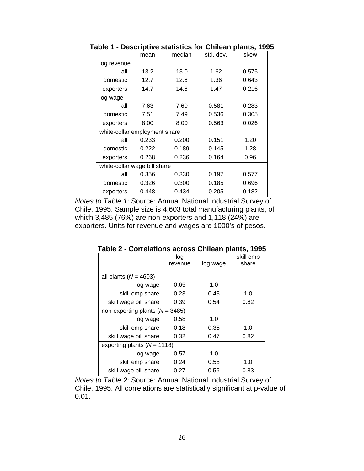|                               | mean  | median | std. dev. | skew  |  |  |
|-------------------------------|-------|--------|-----------|-------|--|--|
| log revenue                   |       |        |           |       |  |  |
| all                           | 13.2  | 13.0   | 1.62      | 0.575 |  |  |
| domestic                      | 12.7  | 12.6   | 1.36      | 0.643 |  |  |
| exporters                     | 14.7  | 14.6   | 1.47      | 0.216 |  |  |
| log wage                      |       |        |           |       |  |  |
| all                           | 7.63  | 7.60   | 0.581     | 0.283 |  |  |
| domestic                      | 7.51  | 7.49   | 0.536     | 0.305 |  |  |
| exporters                     | 8.00  | 8.00   | 0.563     | 0.026 |  |  |
| white-collar employment share |       |        |           |       |  |  |
| all                           | 0.233 | 0.200  | 0.151     | 1.20  |  |  |
| domestic                      | 0.222 | 0.189  | 0.145     | 1.28  |  |  |
| exporters                     | 0.268 | 0.236  | 0.164     | 0.96  |  |  |
| white-collar wage bill share  |       |        |           |       |  |  |
| all                           | 0.356 | 0.330  | 0.197     | 0.577 |  |  |
| domestic                      | 0.326 | 0.300  | 0.185     | 0.696 |  |  |
| exporters                     | 0.448 | 0.434  | 0.205     | 0.182 |  |  |

**Table 1 - Descriptive statistics for Chilean plants, 1995** 

*Notes to Table 1*: Source: Annual National Industrial Survey of Chile, 1995. Sample size is 4,603 total manufacturing plants, of which 3,485 (76%) are non-exporters and 1,118 (24%) are exporters. Units for revenue and wages are 1000's of pesos.

|                                     | log     |          | skill emp |
|-------------------------------------|---------|----------|-----------|
|                                     | revenue | log wage | share     |
|                                     |         |          |           |
| all plants ( $N = 4603$ )           |         |          |           |
| log wage                            | 0.65    | 1.0      |           |
| skill emp share                     | 0.23    | 0.43     | 1.0       |
| skill wage bill share               | 0.39    | 0.54     | 0.82      |
| non-exporting plants ( $N = 3485$ ) |         |          |           |
| log wage                            | 0.58    | 1.0      |           |
| skill emp share                     | 0.18    | 0.35     | 1.0       |
| skill wage bill share               | 0.32    | 0.47     | 0.82      |
| exporting plants ( $N = 1118$ )     |         |          |           |
| log wage                            | 0.57    | 1.0      |           |
| skill emp share                     | 0.24    | 0.58     | 1.0       |
| skill wage bill share               | 0.27    | 0.56     | 0.83      |

**Table 2 - Correlations across Chilean plants, 1995** 

*Notes to Table 2*: Source: Annual National Industrial Survey of Chile, 1995. All correlations are statistically significant at p-value of 0.01.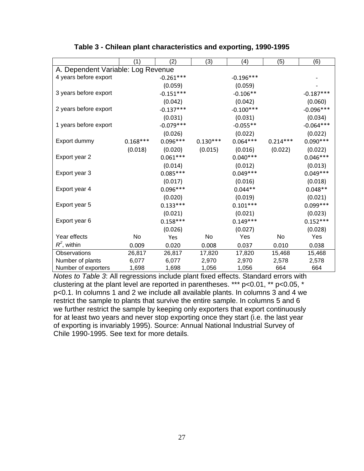|                                    | (1)        | (2)         | (3)        | (4)         | (5)        | (6)         |
|------------------------------------|------------|-------------|------------|-------------|------------|-------------|
| A. Dependent Variable: Log Revenue |            |             |            |             |            |             |
| 4 years before export              |            | $-0.261***$ |            | $-0.196***$ |            |             |
|                                    |            | (0.059)     |            | (0.059)     |            |             |
| 3 years before export              |            | $-0.151***$ |            | $-0.106**$  |            | $-0.187***$ |
|                                    |            | (0.042)     |            | (0.042)     |            | (0.060)     |
| 2 years before export              |            | $-0.137***$ |            | $-0.100***$ |            | $-0.096***$ |
|                                    |            | (0.031)     |            | (0.031)     |            | (0.034)     |
| 1 years before export              |            | $-0.079***$ |            | $-0.055**$  |            | $-0.064***$ |
|                                    |            | (0.026)     |            | (0.022)     |            | (0.022)     |
| Export dummy                       | $0.168***$ | $0.096***$  | $0.130***$ | $0.064***$  | $0.214***$ | $0.090***$  |
|                                    | (0.018)    | (0.020)     | (0.015)    | (0.016)     | (0.022)    | (0.022)     |
| Export year 2                      |            | $0.061***$  |            | $0.040***$  |            | $0.046***$  |
|                                    |            | (0.014)     |            | (0.012)     |            | (0.013)     |
| Export year 3                      |            | $0.085***$  |            | $0.049***$  |            | $0.049***$  |
|                                    |            | (0.017)     |            | (0.016)     |            | (0.018)     |
| Export year 4                      |            | $0.096***$  |            | $0.044**$   |            | $0.048**$   |
|                                    |            | (0.020)     |            | (0.019)     |            | (0.021)     |
| Export year 5                      |            | $0.133***$  |            | $0.101***$  |            | $0.099***$  |
|                                    |            | (0.021)     |            | (0.021)     |            | (0.023)     |
| Export year 6                      |            | $0.158***$  |            | $0.149***$  |            | $0.152***$  |
|                                    |            | (0.026)     |            | (0.027)     |            | (0.028)     |
| Year effects                       | No         | Yes         | No         | Yes         | No         | Yes         |
| $R^2$ , within                     | 0.009      | 0.020       | 0.008      | 0.037       | 0.010      | 0.038       |
| Observations                       | 26,817     | 26,817      | 17,820     | 17,820      | 15,468     | 15,468      |
| Number of plants                   | 6,077      | 6,077       | 2,970      | 2,970       | 2,578      | 2,578       |
| Number of exporters                | 1,698      | 1,698       | 1,056      | 1,056       | 664        | 664         |

# **Table 3 - Chilean plant characteristics and exporting, 1990-1995**

*Notes to Table 3*: All regressions include plant fixed effects. Standard errors with clustering at the plant level are reported in parentheses. \*\*\* p<0.01, \*\* p<0.05, \* p<0.1. In columns 1 and 2 we include all available plants. In columns 3 and 4 we restrict the sample to plants that survive the entire sample. In columns 5 and 6 we further restrict the sample by keeping only exporters that export continuously for at least two years and never stop exporting once they start (i.e. the last year of exporting is invariably 1995). Source: Annual National Industrial Survey of Chile 1990-1995. See text for more details.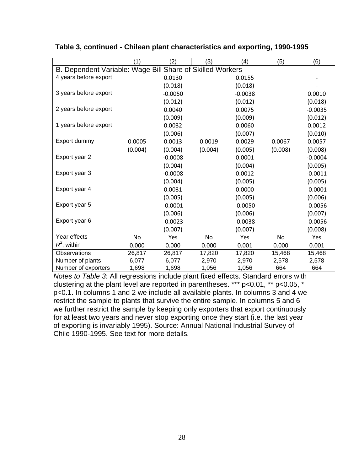|                                                           | (1)     | (2)       | (3)     | (4)       | (5)     | (6)       |  |
|-----------------------------------------------------------|---------|-----------|---------|-----------|---------|-----------|--|
| B. Dependent Variable: Wage Bill Share of Skilled Workers |         |           |         |           |         |           |  |
| 4 years before export                                     |         | 0.0130    |         | 0.0155    |         |           |  |
|                                                           |         | (0.018)   |         | (0.018)   |         |           |  |
| 3 years before export                                     |         | $-0.0050$ |         | $-0.0038$ |         | 0.0010    |  |
|                                                           |         | (0.012)   |         | (0.012)   |         | (0.018)   |  |
| 2 years before export                                     |         | 0.0040    |         | 0.0075    |         | $-0.0035$ |  |
|                                                           |         | (0.009)   |         | (0.009)   |         | (0.012)   |  |
| 1 years before export                                     |         | 0.0032    |         | 0.0060    |         | 0.0012    |  |
|                                                           |         | (0.006)   |         | (0.007)   |         | (0.010)   |  |
| Export dummy                                              | 0.0005  | 0.0013    | 0.0019  | 0.0029    | 0.0067  | 0.0057    |  |
|                                                           | (0.004) | (0.004)   | (0.004) | (0.005)   | (0.008) | (0.008)   |  |
| Export year 2                                             |         | $-0.0008$ |         | 0.0001    |         | $-0.0004$ |  |
|                                                           |         | (0.004)   |         | (0.004)   |         | (0.005)   |  |
| Export year 3                                             |         | $-0.0008$ |         | 0.0012    |         | $-0.0011$ |  |
|                                                           |         | (0.004)   |         | (0.005)   |         | (0.005)   |  |
| Export year 4                                             |         | 0.0031    |         | 0.0000    |         | $-0.0001$ |  |
|                                                           |         | (0.005)   |         | (0.005)   |         | (0.006)   |  |
| Export year 5                                             |         | $-0.0001$ |         | $-0.0050$ |         | $-0.0056$ |  |
|                                                           |         | (0.006)   |         | (0.006)   |         | (0.007)   |  |
| Export year 6                                             |         | $-0.0023$ |         | $-0.0038$ |         | $-0.0056$ |  |
|                                                           |         | (0.007)   |         | (0.007)   |         | (0.008)   |  |
| Year effects                                              | No      | Yes       | No      | Yes       | No      | Yes       |  |
| $R^2$ , within                                            | 0.000   | 0.000     | 0.000   | 0.001     | 0.000   | 0.001     |  |
| Observations                                              | 26,817  | 26,817    | 17,820  | 17,820    | 15,468  | 15,468    |  |
| Number of plants                                          | 6,077   | 6,077     | 2,970   | 2,970     | 2,578   | 2,578     |  |
| Number of exporters                                       | 1,698   | 1,698     | 1,056   | 1,056     | 664     | 664       |  |

| Table 3, continued - Chilean plant characteristics and exporting, 1990-1995 |
|-----------------------------------------------------------------------------|
|-----------------------------------------------------------------------------|

*Notes to Table 3*: All regressions include plant fixed effects. Standard errors with clustering at the plant level are reported in parentheses. \*\*\* p<0.01, \*\* p<0.05, \* p<0.1. In columns 1 and 2 we include all available plants. In columns 3 and 4 we restrict the sample to plants that survive the entire sample. In columns 5 and 6 we further restrict the sample by keeping only exporters that export continuously for at least two years and never stop exporting once they start (i.e. the last year of exporting is invariably 1995). Source: Annual National Industrial Survey of Chile 1990-1995. See text for more details.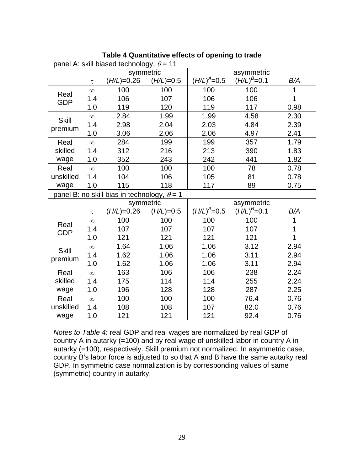|  | Table 4 Quantitative effects of opening to trade |  |  |  |
|--|--------------------------------------------------|--|--|--|
|--|--------------------------------------------------|--|--|--|

| panel A: skill biased technology, $\theta$ = 11 |                                                    |              |             |                   |                 |      |  |
|-------------------------------------------------|----------------------------------------------------|--------------|-------------|-------------------|-----------------|------|--|
|                                                 |                                                    | symmetric    |             | asymmetric        |                 |      |  |
|                                                 | $\tau$                                             | $(H/L)=0.26$ | $(H/L)=0.5$ | $(H/L)^{A} = 0.5$ | $(H/L)^B = 0.1$ | B/A  |  |
| Real                                            | $\infty$                                           | 100          | 100         | 100               | 100             | 1    |  |
| <b>GDP</b>                                      | 1.4                                                | 106          | 107         | 106               | 106             | 1    |  |
|                                                 | 1.0                                                | 119          | 120         | 119               | 117             | 0.98 |  |
| <b>Skill</b>                                    | $\infty$                                           | 2.84         | 1.99        | 1.99              | 4.58            | 2.30 |  |
| premium                                         | 1.4                                                | 2.98         | 2.04        | 2.03              | 4.84            | 2.39 |  |
|                                                 | 1.0                                                | 3.06         | 2.06        | 2.06              | 4.97            | 2.41 |  |
| Real                                            | $\infty$                                           | 284          | 199         | 199               | 357             | 1.79 |  |
| skilled                                         | 1.4                                                | 312          | 216         | 213               | 390             | 1.83 |  |
| wage                                            | 1.0                                                | 352          | 243         | 242               | 441             | 1.82 |  |
| Real                                            | $\infty$                                           | 100          | 100         | 100               | 78              | 0.78 |  |
| unskilled                                       | 1.4                                                | 104          | 106         | 105               | 81              | 0.78 |  |
| wage                                            | 1.0                                                | 115          | 118         | 117               | 89              | 0.75 |  |
|                                                 | panel B: no skill bias in technology, $\theta = 1$ |              |             |                   |                 |      |  |
|                                                 |                                                    | symmetric    |             | asymmetric        |                 |      |  |
|                                                 | $\tau$                                             | $(H/L)=0.26$ | $(H/L)=0.5$ | $(H/L)^{A} = 0.5$ | $(H/L)^B = 0.1$ | B/A  |  |
| Real                                            | $\infty$                                           | 100          | 100         | 100               | 100             | 1    |  |
| <b>GDP</b>                                      | 1.4                                                | 107          | 107         | 107               | 107             | 1    |  |
|                                                 | 1.0                                                | 121          | 121         | 121               | 121             | 1    |  |
| <b>Skill</b>                                    | $\infty$                                           | 1.64         | 1.06        | 1.06              | 3.12            | 2.94 |  |
| premium                                         | 1.4                                                | 1.62         | 1.06        | 1.06              | 3.11            | 2.94 |  |
|                                                 | 1.0                                                | 1.62         | 1.06        | 1.06              | 3.11            | 2.94 |  |
| Real                                            | $\infty$                                           | 163          | 106         | 106               | 238             | 2.24 |  |
| skilled                                         | 1.4                                                | 175          | 114         | 114               | 255             | 2.24 |  |
| wage                                            | 1.0                                                | 196          | 128         | 128               | 287             | 2.25 |  |
| Real                                            | $\infty$                                           | 100          | 100         | 100               | 76.4            | 0.76 |  |
| unskilled                                       | 1.4                                                | 108          | 108         | 107               | 82.0            | 0.76 |  |
| wage                                            | 1.0                                                | 121          | 121         | 121               | 92.4            | 0.76 |  |

*Notes to Table 4*: real GDP and real wages are normalized by real GDP of country A in autarky (=100) and by real wage of unskilled labor in country A in autarky (=100), respectively. Skill premium not normalized. In asymmetric case, country B's labor force is adjusted to so that A and B have the same autarky real GDP. In symmetric case normalization is by corresponding values of same (symmetric) country in autarky.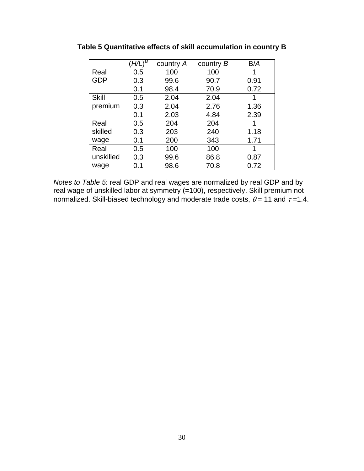|              | $(H/L)^{\overline{B}}$ | country A | country B | B/A  |
|--------------|------------------------|-----------|-----------|------|
| Real         | 0.5                    | 100       | 100       | 1    |
| <b>GDP</b>   | 0.3                    | 99.6      | 90.7      | 0.91 |
|              | 0.1                    | 98.4      | 70.9      | 0.72 |
| <b>Skill</b> | 0.5                    | 2.04      | 2.04      |      |
| premium      | 0.3                    | 2.04      | 2.76      | 1.36 |
|              | 0.1                    | 2.03      | 4.84      | 2.39 |
| Real         | 0.5                    | 204       | 204       |      |
| skilled      | 0.3                    | 203       | 240       | 1.18 |
| wage         | 0.1                    | 200       | 343       | 1.71 |
| Real         | 0.5                    | 100       | 100       | 1    |
| unskilled    | 0.3                    | 99.6      | 86.8      | 0.87 |
| wage         | 0.1                    | 98.6      | 70.8      | 0.72 |

**Table 5 Quantitative effects of skill accumulation in country B** 

*Notes to Table 5*: real GDP and real wages are normalized by real GDP and by real wage of unskilled labor at symmetry (=100), respectively. Skill premium not normalized. Skill-biased technology and moderate trade costs,  $\theta$  = 11 and  $\tau$ =1.4.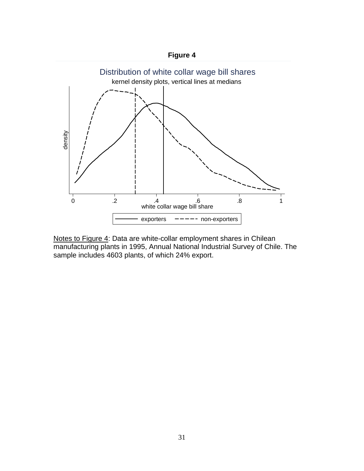

Notes to Figure 4: Data are white-collar employment shares in Chilean manufacturing plants in 1995, Annual National Industrial Survey of Chile. The sample includes 4603 plants, of which 24% export.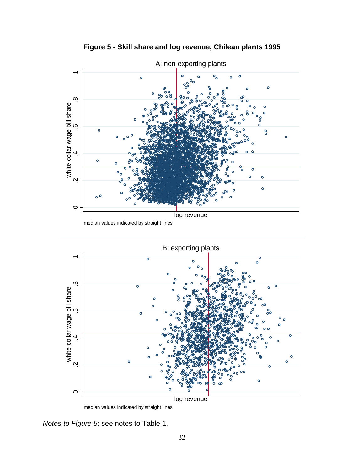

**Figure 5 - Skill share and log revenue, Chilean plants 1995** 

*Notes to Figure 5*: see notes to Table 1.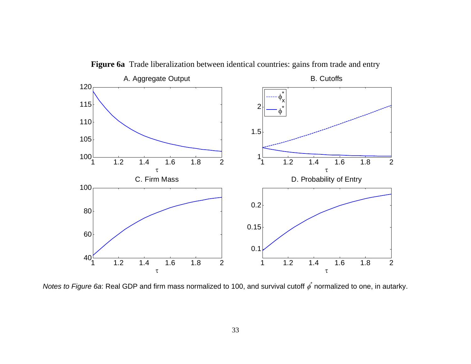

**Figure 6a** Trade liberalization between identical countries: gains from trade and entry

*Notes to Figure 6a*: Real GDP and firm mass normalized to 100, and survival cutoff  $\phi^*$ normalized to one, in autarky.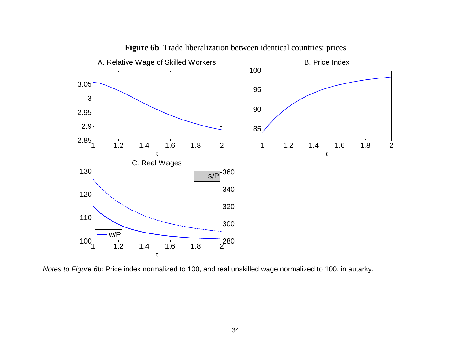

**Figure 6b** Trade liberalization between identical countries: prices

*Notes to Figure 6b*: Price index normalized to 100, and real unskilled wage normalized to 100, in autarky.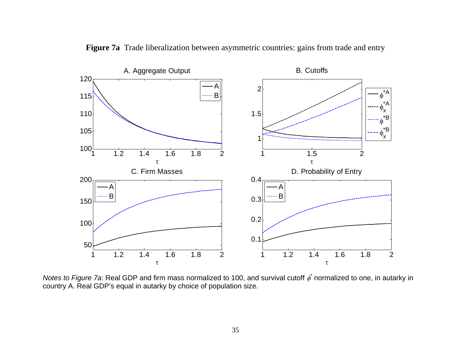

**Figure 7a** Trade liberalization between asymmetric countries: gains from trade and entry

*Notes to Figure 7a*: Real GDP and firm mass normalized to 100, and survival cutoff  $\phi^*$ normalized to one, in autarky in country A. Real GDP's equal in autarky by choice of population size.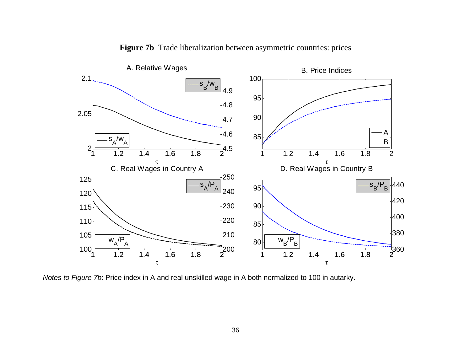

**Figure 7b** Trade liberalization between asymmetric countries: prices

*Notes to Figure 7b*: Price index in A and real unskilled wage in A both normalized to 100 in autarky.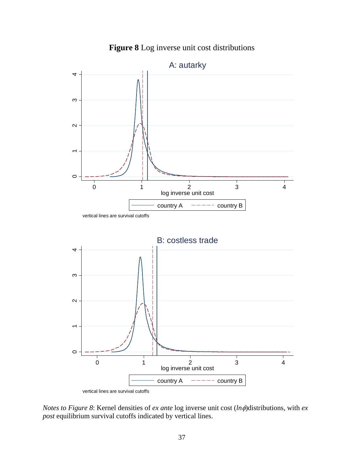

**Figure 8** Log inverse unit cost distributions

*Notes to Figure 8*: Kernel densities of *ex ante* log inverse unit cost (*ln* $\phi$ )distributions, with *ex post* equilibrium survival cutoffs indicated by vertical lines.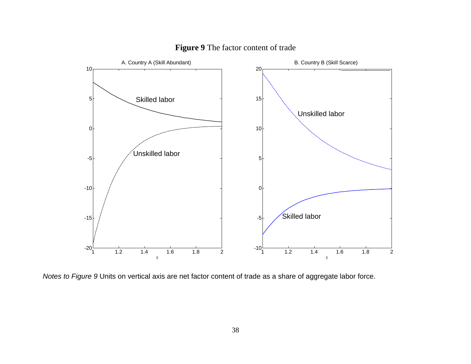

# **Figure 9** The factor content of trade

*Notes to Figure 9* Units on vertical axis are net factor content of trade as a share of aggregate labor force.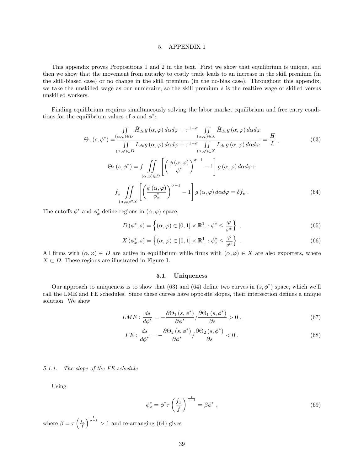#### 5. APPENDIX 1

This appendix proves Propositions 1 and 2 in the text. First we show that equilibrium is unique, and then we show that the movement from autarky to costly trade leads to an increase in the skill premium (in the skill-biased case) or no change in the skill premium (in the no-bias case). Throughout this appendix, we take the unskilled wage as our numeraire, so the skill premium s is the realtive wage of skilled versus unskilled workers.

Finding equilibrium requires simultaneously solving the labor market equilibrium and free entry conditions for the equilibrium values of s and  $\phi^*$ :

$$
\Theta_{1}(s,\phi^{*}) = \frac{\iint\limits_{(\alpha,\varphi)\in D} \tilde{H}_{dv}g(\alpha,\varphi) d\alpha d\varphi + \tau^{1-\sigma} \iint\limits_{(\alpha,\varphi)\in X} \tilde{H}_{dv}g(\alpha,\varphi) d\alpha d\varphi}{\iint\limits_{(\alpha,\varphi)\in D} \tilde{L}_{dv}g(\alpha,\varphi) d\alpha d\varphi + \tau^{1-\sigma} \iint\limits_{(\alpha,\varphi)\in X} \tilde{L}_{dv}g(\alpha,\varphi) d\alpha d\varphi} = \frac{H}{L},
$$
\n(63)\n
$$
\Theta_{2}(s,\phi^{*}) = f \iint\limits_{(\alpha,\varphi)\in D} \left[ \left(\frac{\phi(\alpha,\varphi)}{\phi^{*}}\right)^{\sigma-1} - 1 \right] g(\alpha,\varphi) d\alpha d\varphi +
$$
\n
$$
f_{x} \iint\limits_{(\alpha,\varphi)\in X} \left[ \left(\frac{\phi(\alpha,\varphi)}{\phi^{*}}\right)^{\sigma-1} - 1 \right] g(\alpha,\varphi) d\alpha d\varphi = \delta f_{e}.
$$
\n(64)

The cutoffs  $\phi^*$  and  $\phi_x^*$  define regions in  $(\alpha, \varphi)$  space,

$$
D(\phi^*, s) = \left\{ (\alpha, \varphi) \in [0, 1] \times \mathbb{R}^1_+ : \phi^* \le \frac{\varphi}{s^{\alpha}} \right\},\tag{65}
$$

$$
X(\phi_x^*, s) = \left\{ (\alpha, \varphi) \in [0, 1] \times \mathbb{R}_+^1 : \phi_x^* \le \frac{\varphi}{s^{\alpha}} \right\} .
$$
 (66)

All firms with  $(\alpha, \varphi) \in D$  are active in equilibrium while firms with  $(\alpha, \varphi) \in X$  are also exporters, where  $X \subset D$ . These regions are illustrated in Figure 1.

#### 5.1. Uniqueness

Our approach to uniqueness is to show that (63) and (64) define two curves in  $(s, \phi^*)$  space, which we'll call the LME and FE schedules. Since these curves have opposite slopes, their intersection defines a unique solution. We show

$$
LME: \frac{ds}{d\phi^*} = -\frac{\partial \Theta_1(s, \phi^*)}{\partial \phi^*} / \frac{\partial \Theta_1(s, \phi^*)}{\partial s} > 0 ,\qquad (67)
$$

$$
FE: \frac{ds}{d\phi^*} = -\frac{\partial \Theta_2\left(s, \phi^*\right)}{\partial \phi^*} / \frac{\partial \Theta_2\left(s, \phi^*\right)}{\partial s} < 0 \tag{68}
$$

#### 5.1.1. The slope of the FE schedule

Using

$$
\phi_x^* = \phi^* \tau \left(\frac{f_x}{f}\right)^{\frac{1}{\sigma - 1}} = \beta \phi^*,\tag{69}
$$

where  $\beta = \tau \left(\frac{f_x}{f}\right)$  $\int_{0}^{\frac{1}{\sigma-1}}$  > 1 and re-arranging (64) gives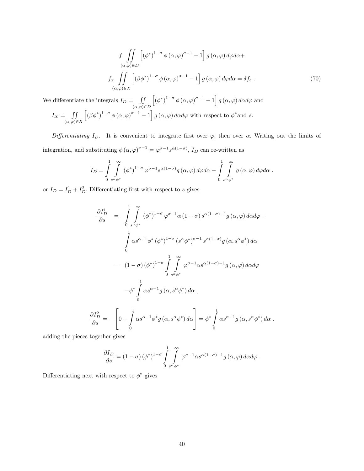$$
f \iint_{(\alpha,\varphi)\in D} \left[ (\phi^*)^{1-\sigma} \phi(\alpha,\varphi)^{\sigma-1} - 1 \right] g(\alpha,\varphi) d\varphi d\alpha +
$$
  

$$
f_x \iint_{(\alpha,\varphi)\in X} \left[ (\beta \phi^*)^{1-\sigma} \phi(\alpha,\varphi)^{\sigma-1} - 1 \right] g(\alpha,\varphi) d\varphi d\alpha = \delta f_e . \tag{70}
$$

We differentiate the integrals  $I_D = \iint$  $(\alpha,\varphi){\in}D$  $\left[\left(\phi^*\right)^{1-\sigma}\phi\left(\alpha,\varphi\right)^{\sigma-1}-1\right]g\left(\alpha,\varphi\right)d\alpha d\varphi$  and  $I_X = \iiint$  $(\alpha,\varphi){\in}X$  $\left[\left(\beta\phi^*\right)^{1-\sigma}\phi\left(\alpha,\varphi\right)^{\sigma-1}-1\right]g\left(\alpha,\varphi\right)d\alpha d\varphi$  with respect to  $\phi^*$  and s.

Differentiating  $I_D$ . It is convenient to integrate first over  $\varphi$ , then over  $\alpha$ . Writing out the limits of integration, and substituting  $\phi(\alpha, \varphi)^{\sigma-1} = \varphi^{\sigma-1} s^{\alpha(1-\sigma)}$ ,  $I_D$  can re-written as

$$
I_D = \int\limits_{0}^{1} \int\limits_{s^{\alpha}\phi^*}^{\infty} (\phi^*)^{1-\sigma} \varphi^{\sigma-1} s^{\alpha(1-\sigma)} g(\alpha, \varphi) d\varphi d\alpha - \int\limits_{0}^{1} \int\limits_{s^{\alpha}\phi^*}^{\infty} g(\alpha, \varphi) d\varphi d\alpha,
$$

or  $I_D = I_D^1 + I_D^2$ . Differentiating first with respect to s gives

$$
\frac{\partial I_D^1}{\partial s} = \int_0^1 \int_{s^{\alpha}\phi^*}^{\infty} (\phi^*)^{1-\sigma} \varphi^{\sigma-1} \alpha (1-\sigma) s^{\alpha(1-\sigma)-1} g(\alpha, \varphi) d\alpha d\varphi -
$$

$$
\int_0^1 \alpha s^{\alpha-1} \phi^* (\phi^*)^{1-\sigma} (s^{\alpha} \phi^*)^{\sigma-1} s^{\alpha(1-\sigma)} g(\alpha, s^{\alpha} \phi^*) d\alpha
$$

$$
= (1-\sigma) (\phi^*)^{1-\sigma} \int_0^1 \int_{s^{\alpha} \phi^*}^{\infty} \varphi^{\sigma-1} \alpha s^{\alpha(1-\sigma)-1} g(\alpha, \varphi) d\alpha d\varphi
$$

$$
- \phi^* \int_0^1 \alpha s^{\alpha-1} g(\alpha, s^{\alpha} \phi^*) d\alpha ,
$$

$$
\frac{\partial I_D^2}{\partial s} = - \left[ 0 - \int_0^1 \alpha s^{\alpha-1} \phi^* g(\alpha, s^{\alpha} \phi^*) d\alpha \right] = \phi^* \int_0^1 \alpha s^{\alpha-1} g(\alpha, s^{\alpha} \phi^*) d\alpha .
$$

adding the pieces together gives

$$
\frac{\partial I_D}{\partial s} = (1 - \sigma) (\phi^*)^{1 - \sigma} \int_{0}^{1} \int_{s^{\alpha} \phi^*}^{\infty} \varphi^{\sigma - 1} \alpha s^{\alpha (1 - \sigma) - 1} g(\alpha, \varphi) d\alpha d\varphi.
$$

Differentiating next with respect to  $\phi^*$  gives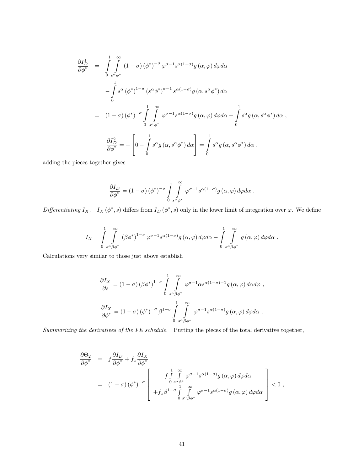$$
\frac{\partial I_D^1}{\partial \phi^*} = \int_0^1 \int_{s^{\alpha} \phi^*}^{\infty} (1 - \sigma) (\phi^*)^{-\sigma} \varphi^{\sigma - 1} s^{\alpha (1 - \sigma)} g(\alpha, \varphi) d\varphi d\alpha \n- \int_0^1 s^{\alpha} (\phi^*)^{1 - \sigma} (s^{\alpha} \phi^*)^{\sigma - 1} s^{\alpha (1 - \sigma)} g(\alpha, s^{\alpha} \phi^*) d\alpha \n= (1 - \sigma) (\phi^*)^{-\sigma} \int_0^1 \int_{s^{\alpha} \phi^*}^{\infty} \varphi^{\sigma - 1} s^{\alpha (1 - \sigma)} g(\alpha, \varphi) d\varphi d\alpha - \int_0^1 s^{\alpha} g(\alpha, s^{\alpha} \phi^*) d\alpha \n\frac{\partial I_D^2}{\partial \phi^*} = - \left[ 0 - \int_0^1 s^{\alpha} g(\alpha, s^{\alpha} \phi^*) d\alpha \right] = \int_0^1 s^{\alpha} g(\alpha, s^{\alpha} \phi^*) d\alpha.
$$

adding the pieces together gives

$$
\frac{\partial I_D}{\partial \phi^*} = (1 - \sigma) (\phi^*)^{-\sigma} \int\limits_{0}^{1} \int\limits_{s^{\alpha} \phi^*}^{\infty} \varphi^{\sigma - 1} s^{\alpha(1 - \sigma)} g(\alpha, \varphi) d\varphi d\alpha.
$$

Differentiating  $I_X$ .  $I_X(\phi^*, s)$  differs from  $I_D(\phi^*, s)$  only in the lower limit of integration over  $\varphi$ . We define

$$
I_X = \int\limits_{0}^{1} \int\limits_{s^{\alpha} \beta \phi^*}^{\infty} (\beta \phi^*)^{1-\sigma} \varphi^{\sigma-1} s^{\alpha(1-\sigma)} g(\alpha, \varphi) d\varphi d\alpha - \int\limits_{0}^{1} \int\limits_{s^{\alpha} \beta \phi^*}^{\infty} g(\alpha, \varphi) d\varphi d\alpha.
$$

Calculations very similar to those just above establish

$$
\frac{\partial I_X}{\partial s} = (1 - \sigma) (\beta \phi^*)^{1 - \sigma} \int_{0}^{1} \int_{s^{\alpha} \beta \phi^*}^{\infty} \varphi^{\sigma - 1} \alpha s^{\alpha (1 - \sigma) - 1} g(\alpha, \varphi) d\alpha d\varphi,
$$
  

$$
\frac{\partial I_X}{\partial \phi^*} = (1 - \sigma) (\phi^*)^{-\sigma} \beta^{1 - \sigma} \int_{0}^{1} \int_{s^{\alpha} \beta \phi^*}^{\infty} \varphi^{\sigma - 1} s^{\alpha (1 - \sigma)} g(\alpha, \varphi) d\varphi d\alpha.
$$

Summarizing the derivatives of the FE schedule. Putting the pieces of the total derivative together,

$$
\frac{\partial \Theta_2}{\partial \phi^*} = f \frac{\partial I_D}{\partial \phi^*} + f_x \frac{\partial I_X}{\partial \phi^*} \n= (1 - \sigma) (\phi^*)^{-\sigma} \left[ \begin{array}{c} f \int_{0}^{1} \int_{s^{\alpha} \phi^*}^{\infty} \varphi^{\sigma-1} s^{\alpha(1-\sigma)} g(\alpha, \varphi) d\varphi d\alpha \\ 0 & \frac{1}{s^{\alpha} \phi^*} \\ + f_x \beta^{1-\sigma} \int_{0}^{1} \int_{s^{\alpha} \beta \phi^*}^{\infty} \varphi^{\sigma-1} s^{\alpha(1-\sigma)} g(\alpha, \varphi) d\varphi d\alpha \end{array} \right] < 0,
$$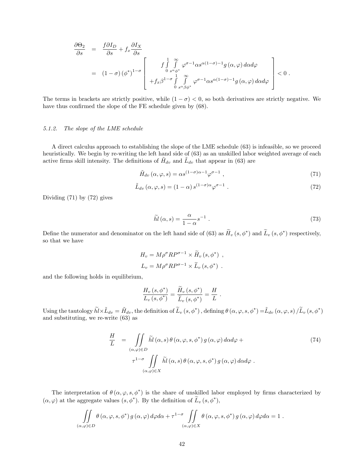$$
\frac{\partial \Theta_2}{\partial s} = \frac{f \partial I_D}{\partial s} + f_x \frac{\partial I_X}{\partial s}
$$
\n
$$
= (1 - \sigma) (\phi^*)^{1 - \sigma} \left[ \frac{f \int_{0}^{1} \int_{s^{\alpha} \phi^*}^{\infty} \varphi^{\sigma - 1} \alpha s^{\alpha (1 - \sigma) - 1} g(\alpha, \varphi) d\alpha d\varphi + f_x \beta^{1 - \sigma} \int_{0}^{1} \int_{s^{\alpha} \beta \phi^*}^{\infty} \varphi^{\sigma - 1} \alpha s^{\alpha (1 - \sigma) - 1} g(\alpha, \varphi) d\alpha d\varphi \right] < 0.
$$

The terms in brackets are strictly positive, while  $(1 - \sigma) < 0$ , so both derivatives are strictly negative. We have thus confirmed the slope of the FE schedule given by (68).

#### 5.1.2. The slope of the LME schedule

A direct calculus approach to establishing the slope of the LME schedule (63) is infeasible, so we proceed heuristically. We begin by re-writing the left hand side of  $(63)$  as an unskilled labor weighted average of each active firms skill intensity. The definitions of  $H_{dv}$  and  $\tilde{L}_{dv}$  that appear in (63) are

$$
\tilde{H}_{dv}(\alpha,\varphi,s) = \alpha s^{(1-\sigma)\alpha - 1} \varphi^{\sigma - 1} ,\qquad(71)
$$

$$
\tilde{L}_{dv}(\alpha,\varphi,s) = (1-\alpha) s^{(1-\sigma)\alpha} \varphi^{\sigma-1} . \qquad (72)
$$

Dividing (71) by (72) gives

$$
\widetilde{hl}(\alpha, s) = \frac{\alpha}{1 - \alpha} s^{-1} . \tag{73}
$$

Define the numerator and denominator on the left hand side of (63) as  $H_v(s, \phi^*)$  and  $L_v(s, \phi^*)$  respectively, so that we have

$$
H_v = M \rho^{\sigma} R P^{\sigma - 1} \times \widetilde{H}_v (s, \phi^*) ,
$$
  

$$
L_v = M \rho^{\sigma} R P^{\sigma - 1} \times \widetilde{L}_v (s, \phi^*) .
$$

and the following holds in equilibrium,

$$
\frac{H_v(s, \phi^*)}{L_v(s, \phi^*)} = \frac{H_v(s, \phi^*)}{\widetilde{L}_v(s, \phi^*)} = \frac{H}{L}.
$$

Using the tautology  $\widetilde{hl}\times \widetilde{L}_{dv} = \widetilde{H}_{dv}$ , the definition of  $\widetilde{L}_v(s, \phi^*)$ , defining  $\theta(\alpha, \varphi, s, \phi^*) = \widetilde{L}_{dv}(\alpha, \varphi, s) / \widetilde{L}_v(s, \phi^*)$ and substituting, we re-write (63) as

$$
\frac{H}{L} = \iint\limits_{(\alpha,\varphi)\in D} \tilde{hl}(\alpha,s) \theta(\alpha,\varphi,s,\phi^*) g(\alpha,\varphi) d\alpha d\varphi +
$$
\n
$$
\tau^{1-\sigma} \iint\limits_{(\alpha,\varphi)\in X} \tilde{hl}(\alpha,s) \theta(\alpha,\varphi,s,\phi^*) g(\alpha,\varphi) d\alpha d\varphi .
$$
\n(74)

The interpretation of  $\theta(\alpha, \varphi, s, \phi^*)$  is the share of unskilled labor employed by firms characterized by  $(\alpha, \varphi)$  at the aggregate values  $(s, \phi^*)$ . By the definition of  $L_v(s, \phi^*)$ ,

$$
\iint_{(\alpha,\varphi)\in D} \theta(\alpha,\varphi,s,\phi^*) g(\alpha,\varphi) d\varphi d\alpha + \tau^{1-\sigma} \iint_{(\alpha,\varphi)\in X} \theta(\alpha,\varphi,s,\phi^*) g(\alpha,\varphi) d\varphi d\alpha = 1.
$$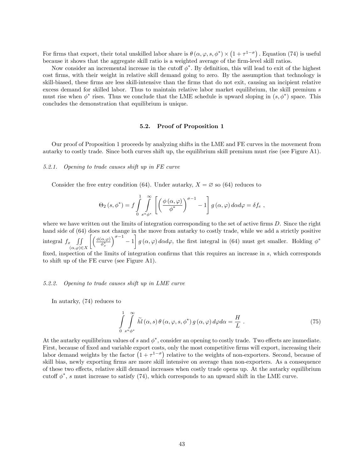For firms that export, their total unskilled labor share is  $\theta(\alpha, \varphi, s, \phi^*) \times (1 + \tau^{1-\sigma})$ . Equation (74) is useful because it shows that the aggregate skill ratio is a weighted average of the firm-level skill ratios.

Now consider an incremental increase in the cutoff  $\phi^*$ . By definition, this will lead to exit of the highest cost firms, with their weight in relative skill demand going to zero. By the assumption that technology is skill-biased, these firms are less skill-intensive than the firms that do not exit, causing an incipient relative excess demand for skilled labor. Thus to maintain relative labor market equilibrium, the skill premium s must rise when  $\phi^*$  rises. Thus we conclude that the LME schedule is upward sloping in  $(s, \phi^*)$  space. This concludes the demonstration that equilibrium is unique.

#### 5.2. Proof of Proposition 1

Our proof of Proposition 1 proceeds by analyzing shifts in the LME and FE curves in the movement from autarky to costly trade. Since both curves shift up, the equilibrium skill premium must rise (see Figure A1).

#### 5.2.1. Opening to trade causes shift up in FE curve

Consider the free entry condition (64). Under autarky,  $X = \emptyset$  so (64) reduces to

$$
\Theta_2\left(s,\phi^*\right) = f \int\limits_{0}^{1} \int\limits_{s^{\alpha}\phi^*}^{\infty} \left[ \left( \frac{\phi\left(\alpha,\varphi\right)}{\phi^*} \right)^{\sigma-1} - 1 \right] g\left(\alpha,\varphi\right) d\alpha d\varphi = \delta f_e,
$$

where we have written out the limits of integration corresponding to the set of active firms  $D$ . Since the right hand side of  $(64)$  does not change in the move from autarky to costly trade, while we add a strictly positive integral  $f_x$   $\iiint$  $(\alpha,\varphi){\in}X$  $\int$  ( $\phi$ ( $\alpha$ , $\varphi$ )  $\phi_x^*$  $\int_0^{\sigma-1} -1$ Ĭ.  $g(\alpha,\varphi) d\alpha d\varphi$ , the first integral in (64) must get smaller. Holding  $\phi^*$ fixed, inspection of the limits of integration confirms that this requires an increase in  $s$ , which corresponds to shift up of the FE curve (see Figure A1).

#### 5.2.2. Opening to trade causes shift up in LME curve

In autarky, (74) reduces to

$$
\int_{0}^{1} \int_{s^{\alpha} \phi^*}^{\infty} \tilde{hl}(\alpha, s) \theta(\alpha, \varphi, s, \phi^*) g(\alpha, \varphi) d\varphi d\alpha = \frac{H}{L}.
$$
\n(75)

At the autarky equilibrium values of s and  $\phi^*$ , consider an opening to costly trade. Two effects are immediate. First, because of fixed and variable export costs, only the most competitive firms will export, increasing their labor demand weights by the factor  $(1+\tau^{1-\sigma})$  relative to the weights of non-exporters. Second, because of skill bias, newly exporting Örms are more skill intensive on average than non-exporters. As a consequence of these two effects, relative skill demand increases when costly trade opens up. At the autarky equilibrium cutoff  $\phi^*$ , s must increase to satisfy (74), which corresponds to an upward shift in the LME curve.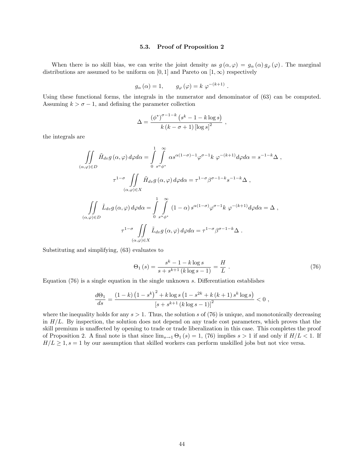#### 5.3. Proof of Proposition 2

When there is no skill bias, we can write the joint density as  $g(\alpha,\varphi) = g_{\alpha}(\alpha) g_{\varphi}(\varphi)$ . The marginal distributions are assumed to be uniform on [0, 1] and Pareto on  $[1,\infty)$  respectively

$$
g_{\alpha}\left(\alpha\right) = 1, \qquad g_{\varphi}\left(\varphi\right) = k \; \varphi^{-(k+1)}
$$

Using these functional forms, the integrals in the numerator and denominator of (63) can be computed. Assuming  $k > \sigma - 1$ , and defining the parameter collection

$$
\Delta = \frac{\left(\phi^*\right)^{\sigma-1-k}\left(s^k-1-k\log s\right)}{k\left(k-\sigma+1\right)\left[\log s\right]^2} \,,
$$

the integrals are

$$
\iint_{(\alpha,\varphi)\in D} \tilde{H}_{dv} g(\alpha,\varphi) d\varphi d\alpha = \int_{0}^{1} \int_{s^{\alpha}\phi^*}^{\infty} \alpha s^{\alpha(1-\sigma)-1} \varphi^{\sigma-1} k \varphi^{-(k+1)} d\varphi d\alpha = s^{-1-k} \Delta ,
$$
  

$$
\tau^{1-\sigma} \iint_{(\alpha,\varphi)\in X} \tilde{H}_{dv} g(\alpha,\varphi) d\varphi d\alpha = \tau^{1-\sigma} \beta^{\sigma-1-k} s^{-1-k} \Delta ,
$$
  

$$
\iint_{(\alpha,\varphi)\in D} \tilde{L}_{dv} g(\alpha,\varphi) d\varphi d\alpha = \int_{0}^{1} \int_{s^{\alpha}\phi^*}^{\infty} (1-\alpha) s^{\alpha(1-\sigma)} \varphi^{\sigma-1} k \varphi^{-(k+1)} d\varphi d\alpha = \Delta ,
$$
  

$$
\tau^{1-\sigma} \iint_{(\alpha,\varphi)\in X} \tilde{L}_{dv} g(\alpha,\varphi) d\varphi d\alpha = \tau^{1-\sigma} \beta^{\sigma-1-k} \Delta .
$$

Substituting and simplifying, (63) evaluates to

$$
\Theta_1(s) = \frac{s^k - 1 - k \log s}{s + s^{k+1} (k \log s - 1)} = \frac{H}{L} \,. \tag{76}
$$

:

Equation  $(76)$  is a single equation in the single unknown s. Differentiation establishes

$$
\frac{d\Theta_1}{ds} = \frac{(1-k)\left(1-s^k\right)^2 + k\log s \left(1-s^{2k} + k\left(k+1\right)s^k \log s\right)}{\left[s+s^{k+1}\left(k\log s - 1\right)\right]^2} < 0,
$$

where the inequality holds for any  $s > 1$ . Thus, the solution s of (76) is unique, and monotonically decreasing in  $H/L$ . By inspection, the solution does not depend on any trade cost parameters, which proves that the skill premium is unaffected by opening to trade or trade liberalization in this case. This completes the proof of Proposition 2. A final note is that since  $\lim_{s\to 1} \Theta_1(s) = 1$ , (76) implies  $s > 1$  if and only if  $H/L < 1$ . If  $H/L \geq 1$ ,  $s = 1$  by our assumption that skilled workers can perform unskilled jobs but not vice versa.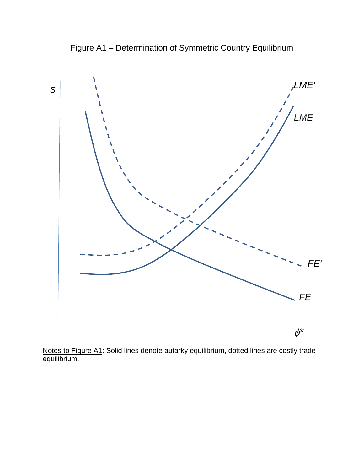Figure A1 – Determination of Symmetric Country Equilibrium



Notes to Figure A1: Solid lines denote autarky equilibrium, dotted lines are costly trade equilibrium.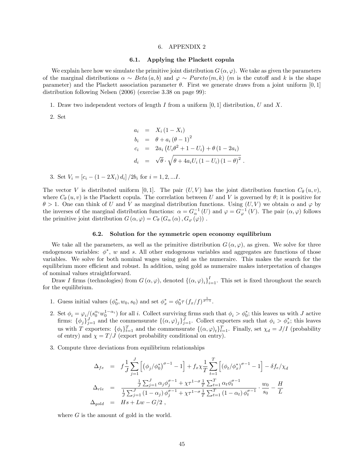#### 6. APPENDIX 2

#### 6.1. Applying the Plackett copula

We explain here how we simulate the primitive joint distribution  $G(\alpha, \varphi)$ . We take as given the parameters of the marginal distributions  $\alpha \sim Beta(a, b)$  and  $\varphi \sim Pareto(m, k)$  (m is the cutoff and k is the shape parameter) and the Plackett association parameter  $\theta$ . First we generate draws from a joint uniform [0, 1] distribution following Nelsen (2006) (exercise 3.38 on page 99):

1. Draw two independent vectors of length I from a uniform  $[0, 1]$  distribution, U and X.

2. Set

$$
a_i = X_i (1 - X_i)
$$
  
\n
$$
b_i = \theta + a_i (\theta - 1)^2
$$
  
\n
$$
c_i = 2a_i (U_i \theta^2 + 1 - U_i) + \theta (1 - 2a_i)
$$
  
\n
$$
d_i = \sqrt{\theta} \cdot \sqrt{\theta + 4a_i U_i (1 - U_i) (1 - \theta)^2}
$$

3. Set  $V_i = [c_i - (1 - 2X_i) d_i]/2b_i$  for  $i = 1, 2, ...I$ .

The vector V is distributed uniform [0,1]. The pair  $(U, V)$  has the joint distribution function  $C_{\theta}(u, v)$ , where  $C_{\theta}(u, v)$  is the Plackett copula. The correlation between U and V is governed by  $\theta$ ; it is positive for  $\theta > 1$ . One can think of U and V as marginal distribution functions. Using  $(U, V)$  we obtain  $\alpha$  and  $\varphi$  by the inverses of the marginal distribution functions:  $\alpha = G_{\alpha}^{-1}(U)$  and  $\varphi = G_{\varphi}^{-1}(V)$ . The pair  $(\alpha, \varphi)$  follows the primitive joint distribution  $G(\alpha, \varphi) = C_{\theta} (G_{\alpha} (\alpha), G_{\varphi} (\varphi))$ .

#### 6.2. Solution for the symmetric open economy equilibrium

We take all the parameters, as well as the primitive distribution  $G(\alpha, \varphi)$ , as given. We solve for three endogenous variables:  $\phi^*$ , w and s. All other endogenous variables and aggregates are functions of those variables. We solve for both nominal wages using gold as the numeraire. This makes the search for the equilibrium more efficient and robust. In addition, using gold as numeraire makes interpretation of changes of nominal values straightforward.

Draw I firms (technologies) from  $G(\alpha,\varphi)$ , denoted  $\{(\alpha,\varphi)_i\}_{i=1}^I$ . This set is fixed throughout the search for the equilibrium.

- 1. Guess initial values  $(\phi_0^*, w_0, s_0)$  and set  $\phi_x^* = \phi_0^* \tau (f_x/f)^{\frac{1}{\sigma-1}}$ .
- 2. Set  $\phi_i = \varphi_i/(\overline{s_0}^{\alpha_i} w_0^{1-\alpha_i})$  for all i. Collect surviving firms such that  $\phi_i > \phi_0^*$ ; this leaves us with J active firms:  $\{\phi_j\}_{j=1}^J$  and the commensurate  $\{(\alpha, \varphi)_j\}_{j=1}^J$ . Collect exporters such that  $\phi_i > \phi_x^*$ ; this leaves us with T exporters:  $\{\phi_t\}_{t=1}^T$  and the commensurate  $\{(\alpha, \varphi)_t\}_{t=1}^T$ . Finally, set  $\chi_d = J/I$  (probability of entry) and  $\chi = T/J$  (export probability conditional on entry).
- 3. Compute three deviations from equilibrium relationships

$$
\Delta_{fe} = f \frac{1}{J} \sum_{j=1}^{J} \left[ \left( \phi_j / \phi_0^* \right)^{\sigma-1} - 1 \right] + f_x \chi \frac{1}{T} \sum_{t=1}^{T} \left[ \left( \phi_t / \phi_x^* \right)^{\sigma-1} - 1 \right] - \delta f_e / \chi_d
$$
\n
$$
\Delta_{rle} = \frac{\frac{1}{J} \sum_{j=1}^{J} \alpha_j \phi_j^{\sigma-1} + \chi \tau^{1-\sigma} \frac{1}{T} \sum_{t=1}^{T} \alpha_t \phi_t^{\sigma-1}}{\frac{1}{J} \sum_{j=1}^{J} \left( 1 - \alpha_j \right) \phi_j^{\sigma-1} + \chi \tau^{1-\sigma} \frac{1}{T} \sum_{t=1}^{T} \left( 1 - \alpha_t \right) \phi_t^{\sigma-1}} \cdot \frac{w_0}{s_0} - \frac{H}{L}
$$
\n
$$
\Delta_{gold} = Hs + Lw - G/2,
$$

where  $G$  is the amount of gold in the world.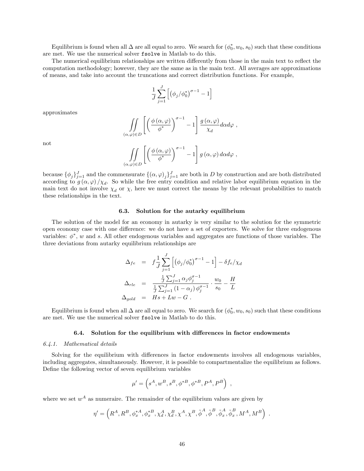Equilibrium is found when all  $\Delta$  are all equal to zero. We search for  $(\phi_0^*, w_0, s_0)$  such that these conditions are met. We use the numerical solver fsolve in Matlab to do this.

The numerical equilibrium relationships are written differently from those in the main text to reflect the computation methodology; however, they are the same as in the main text. All averages are approximations of means, and take into account the truncations and correct distribution functions. For example,

$$
\frac{1}{J}\sum_{j=1}^J \left[ \left(\phi_j / \phi_0^*\right)^{\sigma-1} - 1 \right]
$$

approximates

$$
\underset{(\alpha,\varphi)\in D}{\int}\left[\left(\frac{\phi\left(\alpha,\varphi\right)}{\phi^{*}}\right)^{\sigma-1}-1\right]\frac{g\left(\alpha,\varphi\right)}{\chi_{d}}d\alpha d\varphi\ ,
$$

not

$$
\iint\limits_{(\alpha,\varphi)\in D}\left[\left(\frac{\phi\left(\alpha,\varphi\right)}{\phi^*}\right)^{\sigma-1}-1\right]g\left(\alpha,\varphi\right)d\alpha d\varphi,
$$

because  $\{\phi_j\}_{j=1}^J$  and the commensurate  $\{(\alpha,\varphi)_j\}_{j=1}^J$  are both in D by construction and are both distributed according to  $g(\alpha, \varphi)/\chi_d$ . So while the free entry condition and relative labor equilibrium equation in the main text do not involve  $\chi_d$  or  $\chi$ , here we must correct the means by the relevant probabilities to match these relationships in the text.

#### 6.3. Solution for the autarky equilibrium

The solution of the model for an economy in autarky is very similar to the solution for the symmetric open economy case with one difference: we do not have a set of exporters. We solve for three endogenous variables:  $\phi^*$ , w and s. All other endogenous variables and aggregates are functions of those variables. The three deviations from autarky equilibrium relationships are

$$
\Delta_{fe} = f \frac{1}{J} \sum_{j=1}^{J} \left[ \left( \phi_j / \phi_0^* \right)^{\sigma - 1} - 1 \right] - \delta f_e / \chi_d
$$
\n
$$
\Delta_{rle} = \frac{\frac{1}{J} \sum_{j=1}^{J} \alpha_j \phi_j^{\sigma - 1}}{\frac{1}{J} \sum_{j=1}^{J} (1 - \alpha_j) \phi_j^{\sigma - 1}} \cdot \frac{w_0}{s_0} - \frac{H}{L}
$$
\n
$$
\Delta_{gold} = Hs + Lw - G.
$$

Equilibrium is found when all  $\Delta$  are all equal to zero. We search for  $(\phi_0^*, w_0, s_0)$  such that these conditions are met. We use the numerical solver fsolve in Matlab to do this.

#### 6.4. Solution for the equilibrium with differences in factor endowments

#### 6.4.1. Mathematical details

Solving for the equilibrium with differences in factor endowments involves all endogenous variables, including aggregates, simultaneously. However, it is possible to compartmentalize the equilibrium as follows. Define the following vector of seven equilibrium variables

$$
\mu' = \left( s^A, w^B, s^B, \phi^{*B}, \phi^{*B}, P^A, P^B \right) ,
$$

where we set  $w^A$  as numeraire. The remainder of the equilibrium values are given by

$$
\eta' = \left( R^A, R^B, \phi_x^{*A}, \phi_x^{*B}, \chi_d^A, \chi_d^B, \chi^A, \chi^B, \tilde{\phi}^A, \tilde{\phi}^B, \tilde{\phi}_x^A, \tilde{\phi}_x^B, M^A, M^B \right) .
$$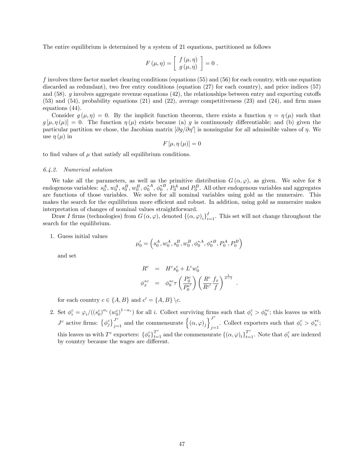The entire equilibrium is determined by a system of 21 equations, partitioned as follows

$$
F(\mu, \eta) = \left[ \begin{array}{c} f(\mu, \eta) \\ g(\mu, \eta) \end{array} \right] = 0.
$$

f involves three factor market clearing conditions (equations (55) and (56) for each country, with one equation discarded as redundant), two free entry conditions (equation (27) for each country), and price indices (57) and  $(58)$ . g involves aggregate revenue equations  $(42)$ , the relationships between entry and exporting cutoffs  $(53)$  and  $(54)$ , probability equations  $(21)$  and  $(22)$ , average competitiveness  $(23)$  and  $(24)$ , and firm mass equations (44).

Consider  $g(\mu, \eta) = 0$ . By the implicit function theorem, there exists a function  $\eta = \eta(\mu)$  such that  $g[\mu, \eta(\mu)] = 0$ . The function  $\eta(\mu)$  exists because (a) g is continuously differentiable; and (b) given the particular partition we chose, the Jacobian matrix  $[\partial g/\partial \eta']$  is nonsingular for all admissible values of  $\eta$ . We use  $\eta(\mu)$  in

$$
F\left[\mu,\eta\left(\mu\right)\right]=0
$$

to find values of  $\mu$  that satisfy all equilibrium conditions.

#### 6.4.2. Numerical solution

We take all the parameters, as well as the primitive distribution  $G(\alpha, \varphi)$ , as given. We solve for 8 endogenous variables:  $s_0^A$ ,  $w_0^A$ ,  $s_0^B$ ,  $w_0^B$ ,  $\phi_0^{*A}$ ,  $\phi_0^{*B}$ ,  $P_0^A$  and  $P_0^B$ . All other endogenous variables and aggregates are functions of those variables. We solve for all nominal variables using gold as the numeraire. This makes the search for the equilibrium more efficient and robust. In addition, using gold as numeraire makes interpretation of changes of nominal values straightforward.

Draw I firms (technologies) from  $G(\alpha,\varphi)$ , denoted  $\{(\alpha,\varphi)_i\}_{i=1}^I$ . This set will not change throughout the search for the equilibrium.

1. Guess initial values

$$
\mu_0' = \left( s_0^A, w_0^A, s_0^B, w_0^B, \phi_0^{*A}, \phi_0^{*B}, P_0^A, P_0^B \right)
$$

and set

$$
\begin{array}{ccl} R^c & = & H^c s_0^c + L^c w_0^c \\[2mm] \phi_x^{*c} & = & \phi_0^{*c} \tau \left( \frac{P_0^c}{P_0^{c'}} \right) \left( \frac{R^c}{R^{c'}} \frac{f_x}{f} \right)^{\frac{1}{\sigma - 1}} \end{array}
$$

:

for each country  $c \in \{A, B\}$  and  $c' = \{A, B\} \backslash c$ .

2. Set  $\phi_i^c = \varphi_i/((s_0^c)^{\alpha_i}(w_0^c)^{1-\alpha_i})$  for all i. Collect surviving firms such that  $\phi_i^c > \phi_0^{*c}$ ; this leaves us with  $J^c$  active firms:  $\{\phi_j^c\}_{j=1}^{J^c}$  and the commensurate  $\{(\alpha,\varphi)_j\}_{j=1}^{J^c}$ Collect exporters such that  $\phi_i^c > \phi_x^{*c}$ ; this leaves us with  $T^c$  exporters:  $\{\phi_t^c\}_{t=1}^{T^c}$  and the commensurate  $\{(\alpha, \varphi)_t\}_{t=1}^{T^c}$ . Note that  $\phi_i^c$  are indexed by country because the wages are different.